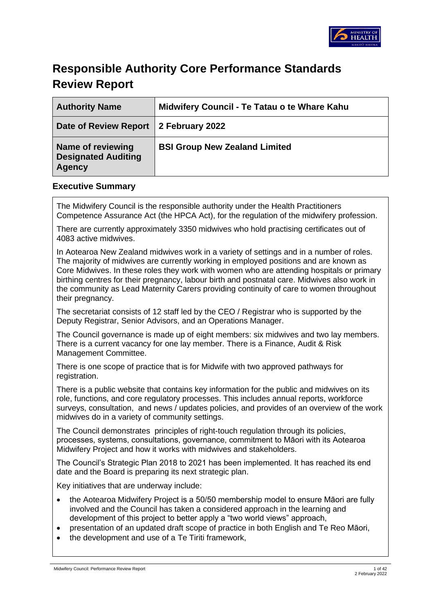

# **Responsible Authority Core Performance Standards Review Report**

| <b>Authority Name</b>                                                   | Midwifery Council - Te Tatau o te Whare Kahu |
|-------------------------------------------------------------------------|----------------------------------------------|
| Date of Review Report   2 February 2022                                 |                                              |
| <b>Name of reviewing</b><br><b>Designated Auditing</b><br><b>Agency</b> | <b>BSI Group New Zealand Limited</b>         |

#### **Executive Summary**

The Midwifery Council is the responsible authority under the Health Practitioners Competence Assurance Act (the HPCA Act), for the regulation of the midwifery profession.

There are currently approximately 3350 midwives who hold practising certificates out of 4083 active midwives.

In Aotearoa New Zealand midwives work in a variety of settings and in a number of roles. The majority of midwives are currently working in employed positions and are known as Core Midwives. In these roles they work with women who are attending hospitals or primary birthing centres for their pregnancy, labour birth and postnatal care. Midwives also work in the community as Lead Maternity Carers providing continuity of care to women throughout their pregnancy.

The secretariat consists of 12 staff led by the CEO / Registrar who is supported by the Deputy Registrar, Senior Advisors, and an Operations Manager.

The Council governance is made up of eight members: six midwives and two lay members. There is a current vacancy for one lay member. There is a Finance, Audit & Risk Management Committee.

There is one scope of practice that is for Midwife with two approved pathways for registration.

There is a public website that contains key information for the public and midwives on its role, functions, and core regulatory processes. This includes annual reports, workforce surveys, consultation, and news / updates policies, and provides of an overview of the work midwives do in a variety of community settings.

The Council demonstrates principles of right-touch regulation through its policies, processes, systems, consultations, governance, commitment to Māori with its Aotearoa Midwifery Project and how it works with midwives and stakeholders.

The Council's Strategic Plan 2018 to 2021 has been implemented. It has reached its end date and the Board is preparing its next strategic plan.

Key initiatives that are underway include:

- the Aotearoa Midwifery Project is a 50/50 membership model to ensure Māori are fully involved and the Council has taken a considered approach in the learning and development of this project to better apply a "two world views" approach,
- presentation of an updated draft scope of practice in both English and Te Reo Māori,
- the development and use of a Te Tiriti framework,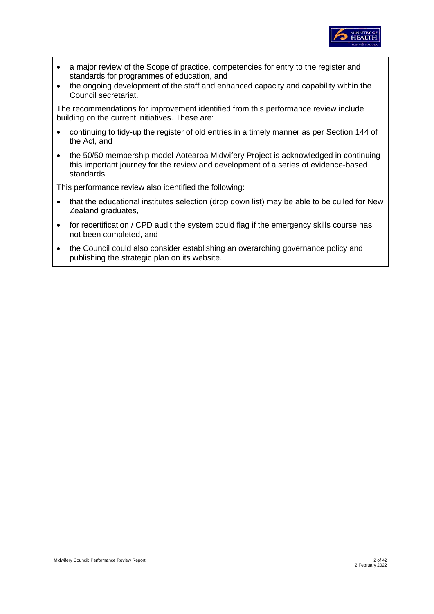

- a major review of the Scope of practice, competencies for entry to the register and standards for programmes of education, and
- the ongoing development of the staff and enhanced capacity and capability within the Council secretariat.

The recommendations for improvement identified from this performance review include building on the current initiatives. These are:

- continuing to tidy-up the register of old entries in a timely manner as per Section 144 of the Act, and
- the 50/50 membership model Aotearoa Midwifery Project is acknowledged in continuing this important journey for the review and development of a series of evidence-based standards.

This performance review also identified the following:

- that the educational institutes selection (drop down list) may be able to be culled for New Zealand graduates,
- for recertification / CPD audit the system could flag if the emergency skills course has not been completed, and
- the Council could also consider establishing an overarching governance policy and publishing the strategic plan on its website.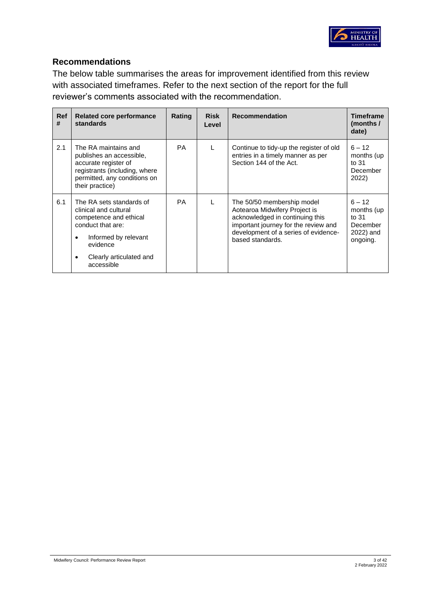

## **Recommendations**

The below table summarises the areas for improvement identified from this review with associated timeframes. Refer to the next section of the report for the full reviewer's comments associated with the recommendation.

| <b>Ref</b><br># | Related core performance<br>standards                                                                                                                                                           | Rating | <b>Risk</b><br>Level | <b>Recommendation</b>                                                                                                                                                                              | <b>Timeframe</b><br>(months /<br>date)                                  |
|-----------------|-------------------------------------------------------------------------------------------------------------------------------------------------------------------------------------------------|--------|----------------------|----------------------------------------------------------------------------------------------------------------------------------------------------------------------------------------------------|-------------------------------------------------------------------------|
| 2.1             | The RA maintains and<br>publishes an accessible,<br>accurate register of<br>registrants (including, where<br>permitted, any conditions on<br>their practice)                                    | PA.    |                      | Continue to tidy-up the register of old<br>entries in a timely manner as per<br>Section 144 of the Act.                                                                                            | $6 - 12$<br>months (up<br>to $31$<br>December<br>2022)                  |
| 6.1             | The RA sets standards of<br>clinical and cultural<br>competence and ethical<br>conduct that are:<br>Informed by relevant<br>$\bullet$<br>evidence<br>Clearly articulated and<br>٠<br>accessible | PA     |                      | The 50/50 membership model<br>Aotearoa Midwifery Project is<br>acknowledged in continuing this<br>important journey for the review and<br>development of a series of evidence-<br>based standards. | $6 - 12$<br>months (up)<br>to $31$<br>December<br>2022) and<br>ongoing. |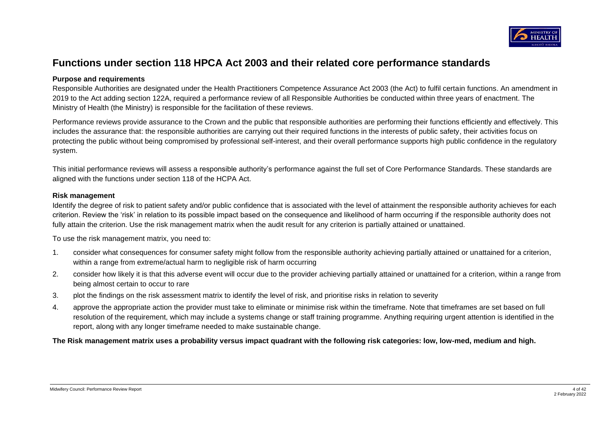

# **Functions under section 118 HPCA Act 2003 and their related core performance standards**

#### **Purpose and requirements**

Responsible Authorities are designated under the Health Practitioners Competence Assurance Act 2003 (the Act) to fulfil certain functions. An amendment in 2019 to the Act adding section 122A, required a performance review of all Responsible Authorities be conducted within three years of enactment. The Ministry of Health (the Ministry) is responsible for the facilitation of these reviews.

Performance reviews provide assurance to the Crown and the public that responsible authorities are performing their functions efficiently and effectively. This includes the assurance that: the responsible authorities are carrying out their required functions in the interests of public safety, their activities focus on protecting the public without being compromised by professional self-interest, and their overall performance supports high public confidence in the regulatory system.

This initial performance reviews will assess a responsible authority's performance against the full set of Core Performance Standards. These standards are aligned with the functions under section 118 of the HCPA Act.

#### **Risk management**

Identify the degree of risk to patient safety and/or public confidence that is associated with the level of attainment the responsible authority achieves for each criterion. Review the 'risk' in relation to its possible impact based on the consequence and likelihood of harm occurring if the responsible authority does not fully attain the criterion. Use the risk management matrix when the audit result for any criterion is partially attained or unattained.

To use the risk management matrix, you need to:

- 1. consider what consequences for consumer safety might follow from the responsible authority achieving partially attained or unattained for a criterion, within a range from extreme/actual harm to negligible risk of harm occurring
- 2. consider how likely it is that this adverse event will occur due to the provider achieving partially attained or unattained for a criterion, within a range from being almost certain to occur to rare
- 3. plot the findings on the risk assessment matrix to identify the level of risk, and prioritise risks in relation to severity
- 4. approve the appropriate action the provider must take to eliminate or minimise risk within the timeframe. Note that timeframes are set based on full resolution of the requirement, which may include a systems change or staff training programme. Anything requiring urgent attention is identified in the report, along with any longer timeframe needed to make sustainable change.

**The Risk management matrix uses a probability versus impact quadrant with the following risk categories: low, low-med, medium and high.**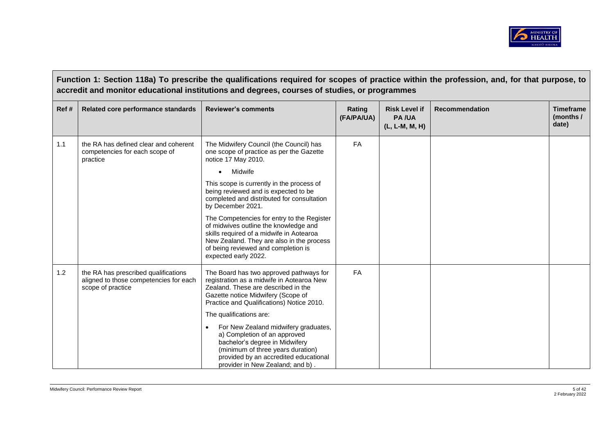

**Function 1: Section 118a) To prescribe the qualifications required for scopes of practice within the profession, and, for that purpose, to accredit and monitor educational institutions and degrees, courses of studies, or programmes Ref # Related core performance standards Reviewer's comments Rating**  Rating **(FA/PA/UA) Risk Level if PA /UA (L, L-M, M, H) Recommendation Timeframe (months / date)** 1.1 **the RA has defined clear and coherent** competencies for each scope of practice The Midwifery Council (the Council) has one scope of practice as per the Gazette notice 17 May 2010. • Midwife This scope is currently in the process of being reviewed and is expected to be completed and distributed for consultation by December 2021. The Competencies for entry to the Register of midwives outline the knowledge and skills required of a midwife in Aotearoa New Zealand. They are also in the process of being reviewed and completion is expected early 2022. FA 1.2 | the RA has prescribed qualifications aligned to those competencies for each scope of practice The Board has two approved pathways for registration as a midwife in Aotearoa New Zealand. These are described in the Gazette notice Midwifery (Scope of Practice and Qualifications) Notice 2010. The qualifications are: • For New Zealand midwifery graduates, a) Completion of an approved bachelor's degree in Midwifery (minimum of three years duration) provided by an accredited educational provider in New Zealand; and b) . FA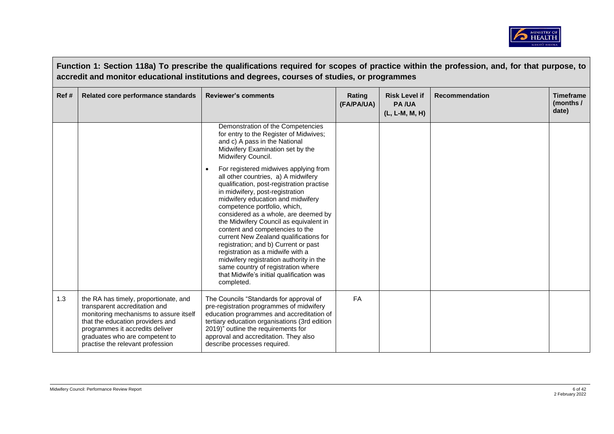

|      | Function 1: Section 118a) To prescribe the qualifications required for scopes of practice within the profession, and, for that purpose, to<br>accredit and monitor educational institutions and degrees, courses of studies, or programmes                    |                                                                                                                                                                                                                                                                                                                                                                                                                                                                                                                                                                                                                         |                      |                                                        |                       |                                        |  |  |
|------|---------------------------------------------------------------------------------------------------------------------------------------------------------------------------------------------------------------------------------------------------------------|-------------------------------------------------------------------------------------------------------------------------------------------------------------------------------------------------------------------------------------------------------------------------------------------------------------------------------------------------------------------------------------------------------------------------------------------------------------------------------------------------------------------------------------------------------------------------------------------------------------------------|----------------------|--------------------------------------------------------|-----------------------|----------------------------------------|--|--|
| Ref# | Related core performance standards                                                                                                                                                                                                                            | <b>Reviewer's comments</b>                                                                                                                                                                                                                                                                                                                                                                                                                                                                                                                                                                                              | Rating<br>(FA/PA/UA) | <b>Risk Level if</b><br><b>PA/UA</b><br>(L, L-M, M, H) | <b>Recommendation</b> | <b>Timeframe</b><br>(months /<br>date) |  |  |
|      |                                                                                                                                                                                                                                                               | Demonstration of the Competencies<br>for entry to the Register of Midwives;<br>and c) A pass in the National<br>Midwifery Examination set by the<br>Midwifery Council.                                                                                                                                                                                                                                                                                                                                                                                                                                                  |                      |                                                        |                       |                                        |  |  |
|      |                                                                                                                                                                                                                                                               | For registered midwives applying from<br>all other countries, a) A midwifery<br>qualification, post-registration practise<br>in midwifery, post-registration<br>midwifery education and midwifery<br>competence portfolio, which,<br>considered as a whole, are deemed by<br>the Midwifery Council as equivalent in<br>content and competencies to the<br>current New Zealand qualifications for<br>registration; and b) Current or past<br>registration as a midwife with a<br>midwifery registration authority in the<br>same country of registration where<br>that Midwife's initial qualification was<br>completed. |                      |                                                        |                       |                                        |  |  |
| 1.3  | the RA has timely, proportionate, and<br>transparent accreditation and<br>monitoring mechanisms to assure itself<br>that the education providers and<br>programmes it accredits deliver<br>graduates who are competent to<br>practise the relevant profession | The Councils "Standards for approval of<br>pre-registration programmes of midwifery<br>education programmes and accreditation of<br>tertiary education organisations (3rd edition<br>2019)" outline the requirements for<br>approval and accreditation. They also<br>describe processes required.                                                                                                                                                                                                                                                                                                                       | <b>FA</b>            |                                                        |                       |                                        |  |  |

 $\sim 10^{-10}$  km s  $^{-1}$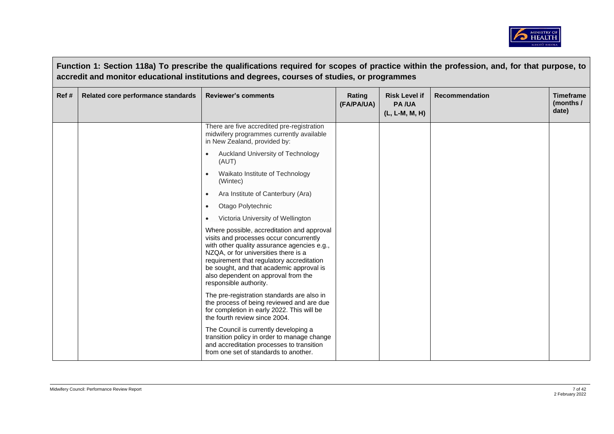

|      | Function 1: Section 118a) To prescribe the qualifications required for scopes of practice within the profession, and, for that purpose, to<br>accredit and monitor educational institutions and degrees, courses of studies, or programmes |                                                                                                                                                                                                                                                                                                                                        |                      |                                                        |                       |                                        |  |
|------|--------------------------------------------------------------------------------------------------------------------------------------------------------------------------------------------------------------------------------------------|----------------------------------------------------------------------------------------------------------------------------------------------------------------------------------------------------------------------------------------------------------------------------------------------------------------------------------------|----------------------|--------------------------------------------------------|-----------------------|----------------------------------------|--|
| Ref# | Related core performance standards                                                                                                                                                                                                         | <b>Reviewer's comments</b>                                                                                                                                                                                                                                                                                                             | Rating<br>(FA/PA/UA) | <b>Risk Level if</b><br><b>PA/UA</b><br>(L, L-M, M, H) | <b>Recommendation</b> | <b>Timeframe</b><br>(months /<br>date) |  |
|      |                                                                                                                                                                                                                                            | There are five accredited pre-registration<br>midwifery programmes currently available<br>in New Zealand, provided by:                                                                                                                                                                                                                 |                      |                                                        |                       |                                        |  |
|      |                                                                                                                                                                                                                                            | Auckland University of Technology<br>(AUT)                                                                                                                                                                                                                                                                                             |                      |                                                        |                       |                                        |  |
|      |                                                                                                                                                                                                                                            | Waikato Institute of Technology<br>(Wintec)                                                                                                                                                                                                                                                                                            |                      |                                                        |                       |                                        |  |
|      |                                                                                                                                                                                                                                            | Ara Institute of Canterbury (Ara)<br>$\bullet$                                                                                                                                                                                                                                                                                         |                      |                                                        |                       |                                        |  |
|      |                                                                                                                                                                                                                                            | Otago Polytechnic<br>$\bullet$                                                                                                                                                                                                                                                                                                         |                      |                                                        |                       |                                        |  |
|      |                                                                                                                                                                                                                                            | Victoria University of Wellington<br>$\bullet$                                                                                                                                                                                                                                                                                         |                      |                                                        |                       |                                        |  |
|      |                                                                                                                                                                                                                                            | Where possible, accreditation and approval<br>visits and processes occur concurrently<br>with other quality assurance agencies e.g.,<br>NZQA, or for universities there is a<br>requirement that regulatory accreditation<br>be sought, and that academic approval is<br>also dependent on approval from the<br>responsible authority. |                      |                                                        |                       |                                        |  |
|      |                                                                                                                                                                                                                                            | The pre-registration standards are also in<br>the process of being reviewed and are due<br>for completion in early 2022. This will be<br>the fourth review since 2004.                                                                                                                                                                 |                      |                                                        |                       |                                        |  |
|      |                                                                                                                                                                                                                                            | The Council is currently developing a<br>transition policy in order to manage change<br>and accreditation processes to transition<br>from one set of standards to another.                                                                                                                                                             |                      |                                                        |                       |                                        |  |

 $\sqrt{ }$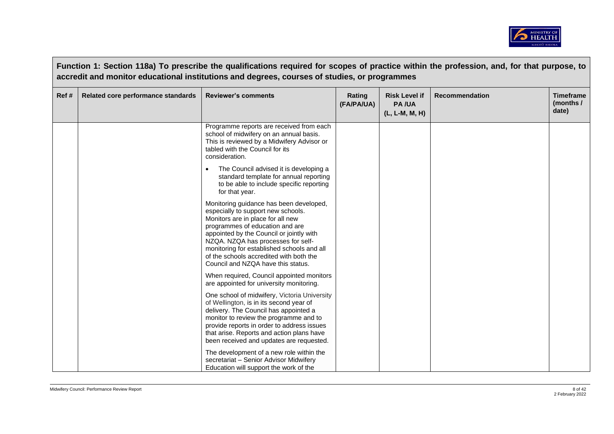

|       |                                    | Function 1: Section 118a) To prescribe the qualifications required for scopes of practice within the profession, and, for that purpose, to<br>accredit and monitor educational institutions and degrees, courses of studies, or programmes                                                                                                                                                                                                                                                                                                                                                                                                                                                                         |                      |                                                        |                       |                                        |
|-------|------------------------------------|--------------------------------------------------------------------------------------------------------------------------------------------------------------------------------------------------------------------------------------------------------------------------------------------------------------------------------------------------------------------------------------------------------------------------------------------------------------------------------------------------------------------------------------------------------------------------------------------------------------------------------------------------------------------------------------------------------------------|----------------------|--------------------------------------------------------|-----------------------|----------------------------------------|
| Ref # | Related core performance standards | <b>Reviewer's comments</b>                                                                                                                                                                                                                                                                                                                                                                                                                                                                                                                                                                                                                                                                                         | Rating<br>(FA/PA/UA) | <b>Risk Level if</b><br><b>PA/UA</b><br>(L, L-M, M, H) | <b>Recommendation</b> | <b>Timeframe</b><br>(months /<br>date) |
|       |                                    | Programme reports are received from each<br>school of midwifery on an annual basis.<br>This is reviewed by a Midwifery Advisor or<br>tabled with the Council for its<br>consideration.<br>The Council advised it is developing a<br>standard template for annual reporting<br>to be able to include specific reporting<br>for that year.<br>Monitoring guidance has been developed,<br>especially to support new schools.<br>Monitors are in place for all new<br>programmes of education and are<br>appointed by the Council or jointly with<br>NZQA. NZQA has processes for self-<br>monitoring for established schools and all<br>of the schools accredited with both the<br>Council and NZQA have this status. |                      |                                                        |                       |                                        |
|       |                                    | When required, Council appointed monitors<br>are appointed for university monitoring.<br>One school of midwifery, Victoria University<br>of Wellington, is in its second year of<br>delivery. The Council has appointed a<br>monitor to review the programme and to<br>provide reports in order to address issues<br>that arise. Reports and action plans have<br>been received and updates are requested.<br>The development of a new role within the<br>secretariat - Senior Advisor Midwifery<br>Education will support the work of the                                                                                                                                                                         |                      |                                                        |                       |                                        |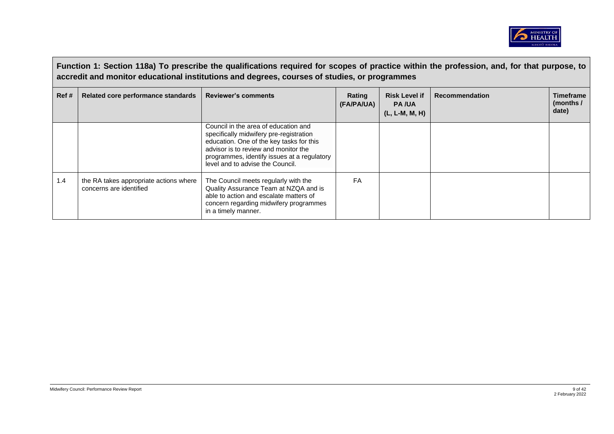

|      | Function 1: Section 118a) To prescribe the qualifications required for scopes of practice within the profession, and, for that purpose, to<br>accredit and monitor educational institutions and degrees, courses of studies, or programmes |                                                                                                                                                                                                                                                        |                             |                                                          |                       |                                        |  |
|------|--------------------------------------------------------------------------------------------------------------------------------------------------------------------------------------------------------------------------------------------|--------------------------------------------------------------------------------------------------------------------------------------------------------------------------------------------------------------------------------------------------------|-----------------------------|----------------------------------------------------------|-----------------------|----------------------------------------|--|
| Ref# | Related core performance standards                                                                                                                                                                                                         | <b>Reviewer's comments</b>                                                                                                                                                                                                                             | <b>Rating</b><br>(FA/PA/UA) | <b>Risk Level if</b><br><b>PA/UA</b><br>$(L, L-M, M, H)$ | <b>Recommendation</b> | <b>Timeframe</b><br>(months /<br>date) |  |
|      |                                                                                                                                                                                                                                            | Council in the area of education and<br>specifically midwifery pre-registration<br>education. One of the key tasks for this<br>advisor is to review and monitor the<br>programmes, identify issues at a regulatory<br>level and to advise the Council. |                             |                                                          |                       |                                        |  |
| 1.4  | the RA takes appropriate actions where<br>concerns are identified                                                                                                                                                                          | The Council meets regularly with the<br>Quality Assurance Team at NZQA and is<br>able to action and escalate matters of<br>concern regarding midwifery programmes<br>in a timely manner.                                                               | FA                          |                                                          |                       |                                        |  |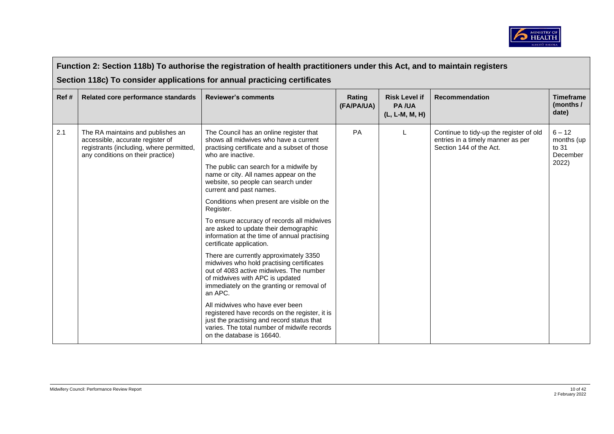

|      |                                                                                                                                                        | Function 2: Section 118b) To authorise the registration of health practitioners under this Act, and to maintain registers<br>Section 118c) To consider applications for annual practicing certificates                    |                      |                                                          |                                                                                                         |                                             |
|------|--------------------------------------------------------------------------------------------------------------------------------------------------------|---------------------------------------------------------------------------------------------------------------------------------------------------------------------------------------------------------------------------|----------------------|----------------------------------------------------------|---------------------------------------------------------------------------------------------------------|---------------------------------------------|
| Ref# | Related core performance standards                                                                                                                     | <b>Reviewer's comments</b>                                                                                                                                                                                                | Rating<br>(FA/PA/UA) | <b>Risk Level if</b><br><b>PA/UA</b><br>$(L, L-M, M, H)$ | <b>Recommendation</b>                                                                                   | <b>Timeframe</b><br>(months /<br>date)      |
| 2.1  | The RA maintains and publishes an<br>accessible, accurate register of<br>registrants (including, where permitted,<br>any conditions on their practice) | The Council has an online register that<br>shows all midwives who have a current<br>practising certificate and a subset of those<br>who are inactive.                                                                     | <b>PA</b>            |                                                          | Continue to tidy-up the register of old<br>entries in a timely manner as per<br>Section 144 of the Act. | $6 - 12$<br>months (up<br>to 31<br>December |
|      |                                                                                                                                                        | The public can search for a midwife by<br>name or city. All names appear on the<br>website, so people can search under<br>current and past names.                                                                         |                      |                                                          |                                                                                                         | 2022)                                       |
|      |                                                                                                                                                        | Conditions when present are visible on the<br>Register.                                                                                                                                                                   |                      |                                                          |                                                                                                         |                                             |
|      |                                                                                                                                                        | To ensure accuracy of records all midwives<br>are asked to update their demographic<br>information at the time of annual practising<br>certificate application.                                                           |                      |                                                          |                                                                                                         |                                             |
|      |                                                                                                                                                        | There are currently approximately 3350<br>midwives who hold practising certificates<br>out of 4083 active midwives. The number<br>of midwives with APC is updated<br>immediately on the granting or removal of<br>an APC. |                      |                                                          |                                                                                                         |                                             |
|      |                                                                                                                                                        | All midwives who have ever been<br>registered have records on the register, it is<br>just the practising and record status that<br>varies. The total number of midwife records<br>on the database is 16640.               |                      |                                                          |                                                                                                         |                                             |

 $\Box$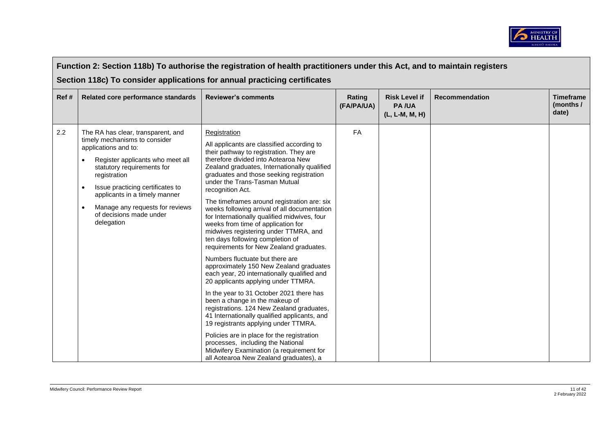

|       | Function 2: Section 118b) To authorise the registration of health practitioners under this Act, and to maintain registers                                                                                                                                                                                                                                             |                                                                                                                                                                                                                                                                                                                                                                                                                                                                                                                                                                                                                                                                                                                                                                                                                                                                                                                                                                                                                                                                                                                                                                            |                      |                                                        |                       |                                        |  |  |  |
|-------|-----------------------------------------------------------------------------------------------------------------------------------------------------------------------------------------------------------------------------------------------------------------------------------------------------------------------------------------------------------------------|----------------------------------------------------------------------------------------------------------------------------------------------------------------------------------------------------------------------------------------------------------------------------------------------------------------------------------------------------------------------------------------------------------------------------------------------------------------------------------------------------------------------------------------------------------------------------------------------------------------------------------------------------------------------------------------------------------------------------------------------------------------------------------------------------------------------------------------------------------------------------------------------------------------------------------------------------------------------------------------------------------------------------------------------------------------------------------------------------------------------------------------------------------------------------|----------------------|--------------------------------------------------------|-----------------------|----------------------------------------|--|--|--|
|       | Section 118c) To consider applications for annual practicing certificates                                                                                                                                                                                                                                                                                             |                                                                                                                                                                                                                                                                                                                                                                                                                                                                                                                                                                                                                                                                                                                                                                                                                                                                                                                                                                                                                                                                                                                                                                            |                      |                                                        |                       |                                        |  |  |  |
| Ref # | Related core performance standards                                                                                                                                                                                                                                                                                                                                    | <b>Reviewer's comments</b>                                                                                                                                                                                                                                                                                                                                                                                                                                                                                                                                                                                                                                                                                                                                                                                                                                                                                                                                                                                                                                                                                                                                                 | Rating<br>(FA/PA/UA) | <b>Risk Level if</b><br><b>PA/UA</b><br>(L, L-M, M, H) | <b>Recommendation</b> | <b>Timeframe</b><br>(months /<br>date) |  |  |  |
| 2.2   | The RA has clear, transparent, and<br>timely mechanisms to consider<br>applications and to:<br>Register applicants who meet all<br>$\bullet$<br>statutory requirements for<br>registration<br>Issue practicing certificates to<br>$\bullet$<br>applicants in a timely manner<br>Manage any requests for reviews<br>$\bullet$<br>of decisions made under<br>delegation | Registration<br>All applicants are classified according to<br>their pathway to registration. They are<br>therefore divided into Aotearoa New<br>Zealand graduates, Internationally qualified<br>graduates and those seeking registration<br>under the Trans-Tasman Mutual<br>recognition Act.<br>The timeframes around registration are: six<br>weeks following arrival of all documentation<br>for Internationally qualified midwives, four<br>weeks from time of application for<br>midwives registering under TTMRA, and<br>ten days following completion of<br>requirements for New Zealand graduates.<br>Numbers fluctuate but there are<br>approximately 150 New Zealand graduates<br>each year, 20 internationally qualified and<br>20 applicants applying under TTMRA.<br>In the year to 31 October 2021 there has<br>been a change in the makeup of<br>registrations. 124 New Zealand graduates,<br>41 Internationally qualified applicants, and<br>19 registrants applying under TTMRA.<br>Policies are in place for the registration<br>processes, including the National<br>Midwifery Examination (a requirement for<br>all Aotearoa New Zealand graduates), a | FA                   |                                                        |                       |                                        |  |  |  |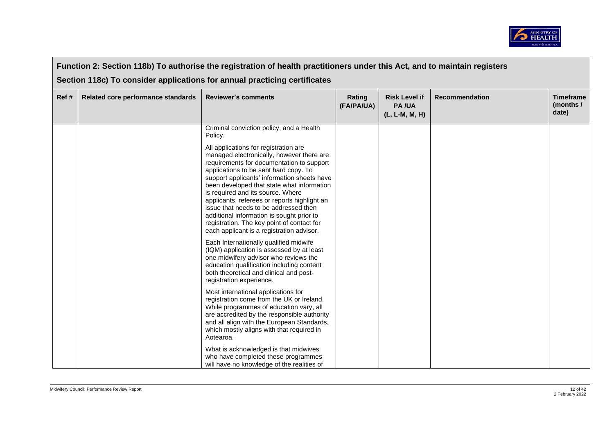

|      | Function 2: Section 118b) To authorise the registration of health practitioners under this Act, and to maintain registers |                                                                                                                                                                                                                                                                                                                                                                                                                                                                                                                                                                                                                                                                                                                                                                                                                                                                                                                                                                                                                                                                                                                                                                                                                                                                            |                      |                                                        |                       |                                        |  |  |  |
|------|---------------------------------------------------------------------------------------------------------------------------|----------------------------------------------------------------------------------------------------------------------------------------------------------------------------------------------------------------------------------------------------------------------------------------------------------------------------------------------------------------------------------------------------------------------------------------------------------------------------------------------------------------------------------------------------------------------------------------------------------------------------------------------------------------------------------------------------------------------------------------------------------------------------------------------------------------------------------------------------------------------------------------------------------------------------------------------------------------------------------------------------------------------------------------------------------------------------------------------------------------------------------------------------------------------------------------------------------------------------------------------------------------------------|----------------------|--------------------------------------------------------|-----------------------|----------------------------------------|--|--|--|
|      | Section 118c) To consider applications for annual practicing certificates                                                 |                                                                                                                                                                                                                                                                                                                                                                                                                                                                                                                                                                                                                                                                                                                                                                                                                                                                                                                                                                                                                                                                                                                                                                                                                                                                            |                      |                                                        |                       |                                        |  |  |  |
| Ref# | Related core performance standards                                                                                        | <b>Reviewer's comments</b>                                                                                                                                                                                                                                                                                                                                                                                                                                                                                                                                                                                                                                                                                                                                                                                                                                                                                                                                                                                                                                                                                                                                                                                                                                                 | Rating<br>(FA/PA/UA) | <b>Risk Level if</b><br><b>PA/UA</b><br>(L, L-M, M, H) | <b>Recommendation</b> | <b>Timeframe</b><br>(months /<br>date) |  |  |  |
|      |                                                                                                                           | Criminal conviction policy, and a Health<br>Policy.<br>All applications for registration are<br>managed electronically, however there are<br>requirements for documentation to support<br>applications to be sent hard copy. To<br>support applicants' information sheets have<br>been developed that state what information<br>is required and its source. Where<br>applicants, referees or reports highlight an<br>issue that needs to be addressed then<br>additional information is sought prior to<br>registration. The key point of contact for<br>each applicant is a registration advisor.<br>Each Internationally qualified midwife<br>(IQM) application is assessed by at least<br>one midwifery advisor who reviews the<br>education qualification including content<br>both theoretical and clinical and post-<br>registration experience.<br>Most international applications for<br>registration come from the UK or Ireland.<br>While programmes of education vary, all<br>are accredited by the responsible authority<br>and all align with the European Standards,<br>which mostly aligns with that required in<br>Aotearoa.<br>What is acknowledged is that midwives<br>who have completed these programmes<br>will have no knowledge of the realities of |                      |                                                        |                       |                                        |  |  |  |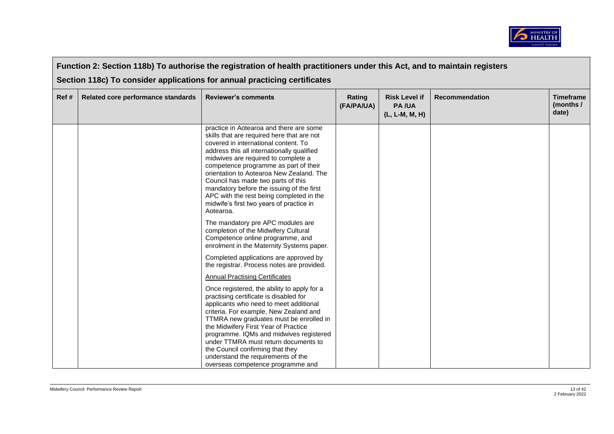

|      | Function 2: Section 118b) To authorise the registration of health practitioners under this Act, and to maintain registers |                                                                                                                                                                                                                                                                                                                                                                                                                                                                                                                                                                                                                                                                                                                                                                                                                                                                                                                                                                                                                                                                                                                                                                                                                                                                  |                      |                                                        |                |                                        |  |  |
|------|---------------------------------------------------------------------------------------------------------------------------|------------------------------------------------------------------------------------------------------------------------------------------------------------------------------------------------------------------------------------------------------------------------------------------------------------------------------------------------------------------------------------------------------------------------------------------------------------------------------------------------------------------------------------------------------------------------------------------------------------------------------------------------------------------------------------------------------------------------------------------------------------------------------------------------------------------------------------------------------------------------------------------------------------------------------------------------------------------------------------------------------------------------------------------------------------------------------------------------------------------------------------------------------------------------------------------------------------------------------------------------------------------|----------------------|--------------------------------------------------------|----------------|----------------------------------------|--|--|
|      | Section 118c) To consider applications for annual practicing certificates                                                 |                                                                                                                                                                                                                                                                                                                                                                                                                                                                                                                                                                                                                                                                                                                                                                                                                                                                                                                                                                                                                                                                                                                                                                                                                                                                  |                      |                                                        |                |                                        |  |  |
| Ref# | Related core performance standards                                                                                        | <b>Reviewer's comments</b>                                                                                                                                                                                                                                                                                                                                                                                                                                                                                                                                                                                                                                                                                                                                                                                                                                                                                                                                                                                                                                                                                                                                                                                                                                       | Rating<br>(FA/PA/UA) | <b>Risk Level if</b><br><b>PA/UA</b><br>(L, L-M, M, H) | Recommendation | <b>Timeframe</b><br>(months /<br>date) |  |  |
|      |                                                                                                                           | practice in Aotearoa and there are some<br>skills that are required here that are not<br>covered in international content. To<br>address this all internationally qualified<br>midwives are required to complete a<br>competence programme as part of their<br>orientation to Aotearoa New Zealand. The<br>Council has made two parts of this<br>mandatory before the issuing of the first<br>APC with the rest being completed in the<br>midwife's first two years of practice in<br>Aotearoa.<br>The mandatory pre APC modules are<br>completion of the Midwifery Cultural<br>Competence online programme, and<br>enrolment in the Maternity Systems paper.<br>Completed applications are approved by<br>the registrar. Process notes are provided.<br><b>Annual Practising Certificates</b><br>Once registered, the ability to apply for a<br>practising certificate is disabled for<br>applicants who need to meet additional<br>criteria. For example, New Zealand and<br>TTMRA new graduates must be enrolled in<br>the Midwifery First Year of Practice<br>programme. IQMs and midwives registered<br>under TTMRA must return documents to<br>the Council confirming that they<br>understand the requirements of the<br>overseas competence programme and |                      |                                                        |                |                                        |  |  |

 $\Box$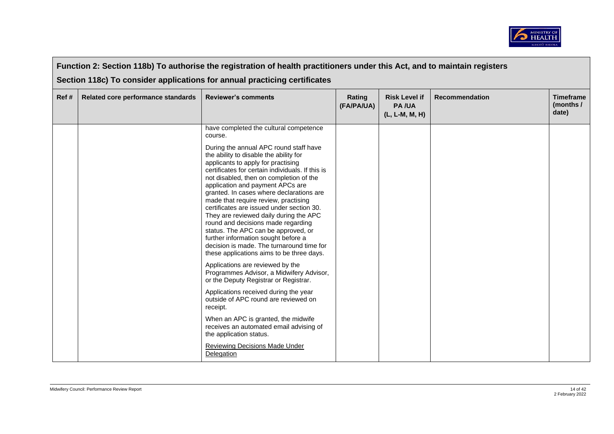

| Function 2: Section 118b) To authorise the registration of health practitioners under this Act, and to maintain registers |                                                                           |                                                                                                                                                                                                                                                                                                                                                                                                                                                                                                                                                                                                                                                                                                                                                                                                                                                                                                                                                                                                                                                                                            |                      |                                                        |                       |                                        |  |  |
|---------------------------------------------------------------------------------------------------------------------------|---------------------------------------------------------------------------|--------------------------------------------------------------------------------------------------------------------------------------------------------------------------------------------------------------------------------------------------------------------------------------------------------------------------------------------------------------------------------------------------------------------------------------------------------------------------------------------------------------------------------------------------------------------------------------------------------------------------------------------------------------------------------------------------------------------------------------------------------------------------------------------------------------------------------------------------------------------------------------------------------------------------------------------------------------------------------------------------------------------------------------------------------------------------------------------|----------------------|--------------------------------------------------------|-----------------------|----------------------------------------|--|--|
|                                                                                                                           | Section 118c) To consider applications for annual practicing certificates |                                                                                                                                                                                                                                                                                                                                                                                                                                                                                                                                                                                                                                                                                                                                                                                                                                                                                                                                                                                                                                                                                            |                      |                                                        |                       |                                        |  |  |
| Ref#                                                                                                                      | Related core performance standards                                        | <b>Reviewer's comments</b>                                                                                                                                                                                                                                                                                                                                                                                                                                                                                                                                                                                                                                                                                                                                                                                                                                                                                                                                                                                                                                                                 | Rating<br>(FA/PA/UA) | <b>Risk Level if</b><br><b>PA/UA</b><br>(L, L-M, M, H) | <b>Recommendation</b> | <b>Timeframe</b><br>(months /<br>date) |  |  |
|                                                                                                                           |                                                                           | have completed the cultural competence<br>course.<br>During the annual APC round staff have<br>the ability to disable the ability for<br>applicants to apply for practising<br>certificates for certain individuals. If this is<br>not disabled, then on completion of the<br>application and payment APCs are<br>granted. In cases where declarations are<br>made that require review, practising<br>certificates are issued under section 30.<br>They are reviewed daily during the APC<br>round and decisions made regarding<br>status. The APC can be approved, or<br>further information sought before a<br>decision is made. The turnaround time for<br>these applications aims to be three days.<br>Applications are reviewed by the<br>Programmes Advisor, a Midwifery Advisor,<br>or the Deputy Registrar or Registrar.<br>Applications received during the year<br>outside of APC round are reviewed on<br>receipt.<br>When an APC is granted, the midwife<br>receives an automated email advising of<br>the application status.<br>Reviewing Decisions Made Under<br>Delegation |                      |                                                        |                       |                                        |  |  |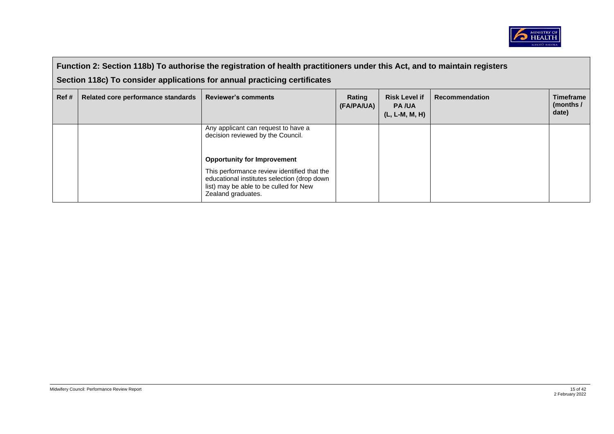

|       | Function 2: Section 118b) To authorise the registration of health practitioners under this Act, and to maintain registers |                                                                                                                                                                                                  |                      |                                                          |                       |                                        |  |
|-------|---------------------------------------------------------------------------------------------------------------------------|--------------------------------------------------------------------------------------------------------------------------------------------------------------------------------------------------|----------------------|----------------------------------------------------------|-----------------------|----------------------------------------|--|
|       |                                                                                                                           | Section 118c) To consider applications for annual practicing certificates                                                                                                                        |                      |                                                          |                       |                                        |  |
| Ref # | Related core performance standards                                                                                        | <b>Reviewer's comments</b>                                                                                                                                                                       | Rating<br>(FA/PA/UA) | <b>Risk Level if</b><br><b>PA/UA</b><br>$(L, L-M, M, H)$ | <b>Recommendation</b> | <b>Timeframe</b><br>(months /<br>date) |  |
|       |                                                                                                                           | Any applicant can request to have a<br>decision reviewed by the Council.                                                                                                                         |                      |                                                          |                       |                                        |  |
|       |                                                                                                                           | <b>Opportunity for Improvement</b><br>This performance review identified that the<br>educational institutes selection (drop down<br>list) may be able to be culled for New<br>Zealand graduates. |                      |                                                          |                       |                                        |  |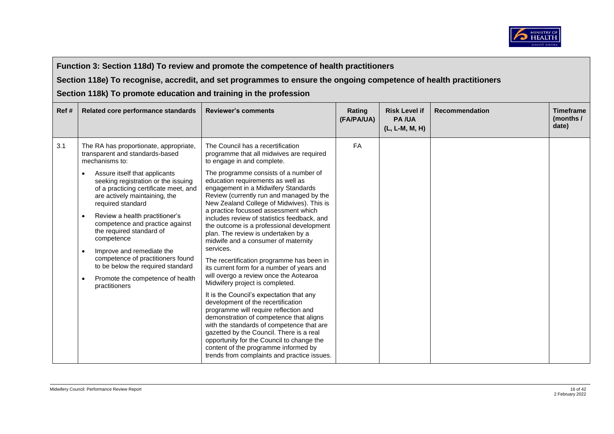

**Section 118e) To recognise, accredit, and set programmes to ensure the ongoing competence of health practitioners**

| Ref# | Related core performance standards                                                                                                                                                                                                                                                                                                                                                                                                                                                                                                                                  | <b>Reviewer's comments</b>                                                                                                                                                                                                                                                                                                                                                                                                                                                                                                                                                                                                                                                                    | Rating<br>(FA/PA/UA) | <b>Risk Level if</b><br><b>PA/UA</b><br>(L, L-M, M, H) | <b>Recommendation</b> | <b>Timeframe</b><br>(months /<br>date) |  |
|------|---------------------------------------------------------------------------------------------------------------------------------------------------------------------------------------------------------------------------------------------------------------------------------------------------------------------------------------------------------------------------------------------------------------------------------------------------------------------------------------------------------------------------------------------------------------------|-----------------------------------------------------------------------------------------------------------------------------------------------------------------------------------------------------------------------------------------------------------------------------------------------------------------------------------------------------------------------------------------------------------------------------------------------------------------------------------------------------------------------------------------------------------------------------------------------------------------------------------------------------------------------------------------------|----------------------|--------------------------------------------------------|-----------------------|----------------------------------------|--|
| 3.1  | The RA has proportionate, appropriate,<br>transparent and standards-based<br>mechanisms to:<br>Assure itself that applicants<br>seeking registration or the issuing<br>of a practicing certificate meet, and<br>are actively maintaining, the<br>required standard<br>Review a health practitioner's<br>$\bullet$<br>competence and practice against<br>the required standard of<br>competence<br>Improve and remediate the<br>$\bullet$<br>competence of practitioners found<br>to be below the required standard<br>Promote the competence of health<br>$\bullet$ | The Council has a recertification<br>programme that all midwives are required<br>to engage in and complete.<br>The programme consists of a number of<br>education requirements as well as<br>engagement in a Midwifery Standards<br>Review (currently run and managed by the<br>New Zealand College of Midwives). This is<br>a practice focussed assessment which<br>includes review of statistics feedback, and<br>the outcome is a professional development<br>plan. The review is undertaken by a<br>midwife and a consumer of maternity<br>services.<br>The recertification programme has been in<br>its current form for a number of years and<br>will overgo a review once the Aotearoa | FA                   |                                                        |                       |                                        |  |
|      | practitioners                                                                                                                                                                                                                                                                                                                                                                                                                                                                                                                                                       | Midwifery project is completed.<br>It is the Council's expectation that any<br>development of the recertification<br>programme will require reflection and<br>demonstration of competence that aligns<br>with the standards of competence that are<br>gazetted by the Council. There is a real<br>opportunity for the Council to change the<br>content of the programme informed by<br>trends from complaints and practice issues.                                                                                                                                                                                                                                                            |                      |                                                        |                       |                                        |  |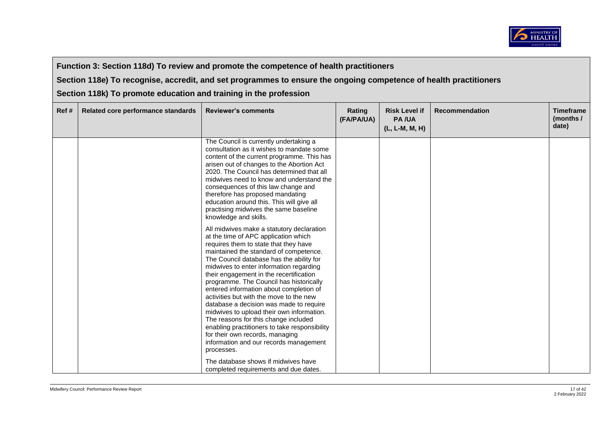

**Section 118e) To recognise, accredit, and set programmes to ensure the ongoing competence of health practitioners**

| Ref# | Related core performance standards | <b>Reviewer's comments</b>                                                                                                                                                                                                                                                                                                                                                                                                                                                                                                                                                                                                                                                                                          | Rating<br>(FA/PA/UA) | <b>Risk Level if</b><br><b>PA/UA</b><br>(L, L-M, M, H) | <b>Recommendation</b> | <b>Timeframe</b><br>(months /<br>date) |
|------|------------------------------------|---------------------------------------------------------------------------------------------------------------------------------------------------------------------------------------------------------------------------------------------------------------------------------------------------------------------------------------------------------------------------------------------------------------------------------------------------------------------------------------------------------------------------------------------------------------------------------------------------------------------------------------------------------------------------------------------------------------------|----------------------|--------------------------------------------------------|-----------------------|----------------------------------------|
|      |                                    | The Council is currently undertaking a<br>consultation as it wishes to mandate some<br>content of the current programme. This has<br>arisen out of changes to the Abortion Act<br>2020. The Council has determined that all<br>midwives need to know and understand the<br>consequences of this law change and<br>therefore has proposed mandating<br>education around this. This will give all<br>practising midwives the same baseline<br>knowledge and skills.                                                                                                                                                                                                                                                   |                      |                                                        |                       |                                        |
|      |                                    | All midwives make a statutory declaration<br>at the time of APC application which<br>requires them to state that they have<br>maintained the standard of competence.<br>The Council database has the ability for<br>midwives to enter information regarding<br>their engagement in the recertification<br>programme. The Council has historically<br>entered information about completion of<br>activities but with the move to the new<br>database a decision was made to require<br>midwives to upload their own information.<br>The reasons for this change included<br>enabling practitioners to take responsibility<br>for their own records, managing<br>information and our records management<br>processes. |                      |                                                        |                       |                                        |
|      |                                    | The database shows if midwives have<br>completed requirements and due dates.                                                                                                                                                                                                                                                                                                                                                                                                                                                                                                                                                                                                                                        |                      |                                                        |                       |                                        |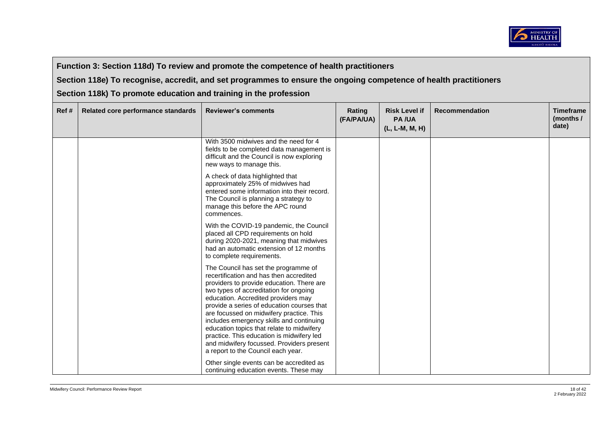

**Section 118e) To recognise, accredit, and set programmes to ensure the ongoing competence of health practitioners**

| Ref # | Related core performance standards | <b>Reviewer's comments</b>                                                                                                                                                                                                                                                                                                                                                                                                                                                                                                       | Rating<br>(FA/PA/UA) | <b>Risk Level if</b><br><b>PA/UA</b><br>(L, L-M, M, H) | <b>Recommendation</b> | <b>Timeframe</b><br>(months /<br>date) |
|-------|------------------------------------|----------------------------------------------------------------------------------------------------------------------------------------------------------------------------------------------------------------------------------------------------------------------------------------------------------------------------------------------------------------------------------------------------------------------------------------------------------------------------------------------------------------------------------|----------------------|--------------------------------------------------------|-----------------------|----------------------------------------|
|       |                                    | With 3500 midwives and the need for 4<br>fields to be completed data management is<br>difficult and the Council is now exploring<br>new ways to manage this.                                                                                                                                                                                                                                                                                                                                                                     |                      |                                                        |                       |                                        |
|       |                                    | A check of data highlighted that<br>approximately 25% of midwives had<br>entered some information into their record.<br>The Council is planning a strategy to<br>manage this before the APC round<br>commences.                                                                                                                                                                                                                                                                                                                  |                      |                                                        |                       |                                        |
|       |                                    | With the COVID-19 pandemic, the Council<br>placed all CPD requirements on hold<br>during 2020-2021, meaning that midwives<br>had an automatic extension of 12 months<br>to complete requirements.                                                                                                                                                                                                                                                                                                                                |                      |                                                        |                       |                                        |
|       |                                    | The Council has set the programme of<br>recertification and has then accredited<br>providers to provide education. There are<br>two types of accreditation for ongoing<br>education. Accredited providers may<br>provide a series of education courses that<br>are focussed on midwifery practice. This<br>includes emergency skills and continuing<br>education topics that relate to midwifery<br>practice. This education is midwifery led<br>and midwifery focussed. Providers present<br>a report to the Council each year. |                      |                                                        |                       |                                        |
|       |                                    | Other single events can be accredited as<br>continuing education events. These may                                                                                                                                                                                                                                                                                                                                                                                                                                               |                      |                                                        |                       |                                        |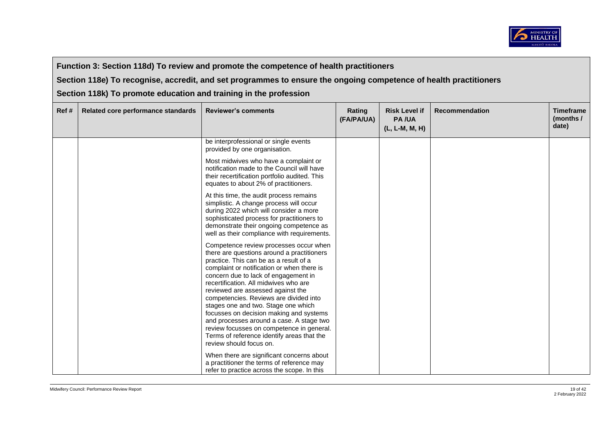

**Section 118e) To recognise, accredit, and set programmes to ensure the ongoing competence of health practitioners**

| Ref# | Related core performance standards | <b>Reviewer's comments</b>                                                                                                                                                                                                                                                                                                                                                                                                                                                                                                                                                                       | <b>Rating</b><br>(FA/PA/UA) | <b>Risk Level if</b><br><b>PA/UA</b><br>(L, L-M, M, H) | <b>Recommendation</b> | <b>Timeframe</b><br>(months /<br>date) |
|------|------------------------------------|--------------------------------------------------------------------------------------------------------------------------------------------------------------------------------------------------------------------------------------------------------------------------------------------------------------------------------------------------------------------------------------------------------------------------------------------------------------------------------------------------------------------------------------------------------------------------------------------------|-----------------------------|--------------------------------------------------------|-----------------------|----------------------------------------|
|      |                                    | be interprofessional or single events<br>provided by one organisation.                                                                                                                                                                                                                                                                                                                                                                                                                                                                                                                           |                             |                                                        |                       |                                        |
|      |                                    | Most midwives who have a complaint or<br>notification made to the Council will have<br>their recertification portfolio audited. This<br>equates to about 2% of practitioners.                                                                                                                                                                                                                                                                                                                                                                                                                    |                             |                                                        |                       |                                        |
|      |                                    | At this time, the audit process remains<br>simplistic. A change process will occur<br>during 2022 which will consider a more<br>sophisticated process for practitioners to<br>demonstrate their ongoing competence as<br>well as their compliance with requirements.                                                                                                                                                                                                                                                                                                                             |                             |                                                        |                       |                                        |
|      |                                    | Competence review processes occur when<br>there are questions around a practitioners<br>practice. This can be as a result of a<br>complaint or notification or when there is<br>concern due to lack of engagement in<br>recertification. All midwives who are<br>reviewed are assessed against the<br>competencies. Reviews are divided into<br>stages one and two. Stage one which<br>focusses on decision making and systems<br>and processes around a case. A stage two<br>review focusses on competence in general.<br>Terms of reference identify areas that the<br>review should focus on. |                             |                                                        |                       |                                        |
|      |                                    | When there are significant concerns about<br>a practitioner the terms of reference may<br>refer to practice across the scope. In this                                                                                                                                                                                                                                                                                                                                                                                                                                                            |                             |                                                        |                       |                                        |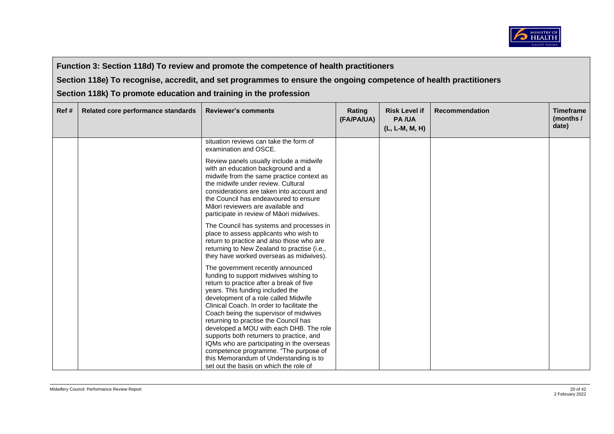

**Section 118e) To recognise, accredit, and set programmes to ensure the ongoing competence of health practitioners**

| Ref# | Related core performance standards | <b>Reviewer's comments</b>                                                                                                                                                                                                                                                                                                              | Rating<br>(FA/PA/UA) | <b>Risk Level if</b><br><b>PA/UA</b><br>(L, L-M, M, H) | <b>Recommendation</b> | <b>Timeframe</b><br>(months /<br>date) |
|------|------------------------------------|-----------------------------------------------------------------------------------------------------------------------------------------------------------------------------------------------------------------------------------------------------------------------------------------------------------------------------------------|----------------------|--------------------------------------------------------|-----------------------|----------------------------------------|
|      |                                    | situation reviews can take the form of<br>examination and OSCE.                                                                                                                                                                                                                                                                         |                      |                                                        |                       |                                        |
|      |                                    | Review panels usually include a midwife<br>with an education background and a<br>midwife from the same practice context as<br>the midwife under review. Cultural<br>considerations are taken into account and<br>the Council has endeavoured to ensure<br>Māori reviewers are available and<br>participate in review of Maori midwives. |                      |                                                        |                       |                                        |
|      |                                    | The Council has systems and processes in<br>place to assess applicants who wish to<br>return to practice and also those who are<br>returning to New Zealand to practise (i.e.,<br>they have worked overseas as midwives).                                                                                                               |                      |                                                        |                       |                                        |
|      |                                    | The government recently announced<br>funding to support midwives wishing to<br>return to practice after a break of five<br>years. This funding included the<br>development of a role called Midwife<br>Clinical Coach. In order to facilitate the                                                                                       |                      |                                                        |                       |                                        |
|      |                                    | Coach being the supervisor of midwives<br>returning to practise the Council has<br>developed a MOU with each DHB. The role<br>supports both returners to practice, and                                                                                                                                                                  |                      |                                                        |                       |                                        |
|      |                                    | IQMs who are participating in the overseas<br>competence programme. "The purpose of<br>this Memorandum of Understanding is to<br>set out the basis on which the role of                                                                                                                                                                 |                      |                                                        |                       |                                        |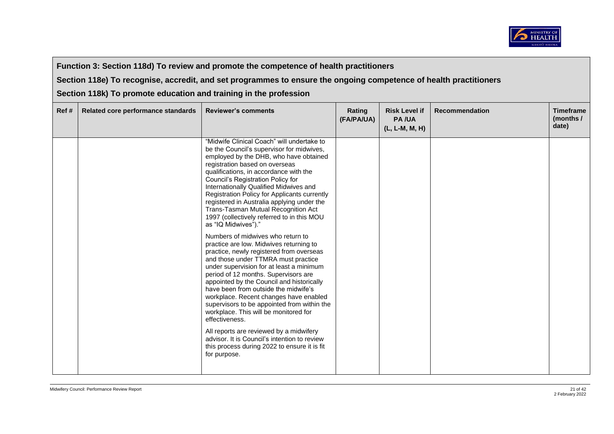

**Section 118e) To recognise, accredit, and set programmes to ensure the ongoing competence of health practitioners**

| Ref# | Related core performance standards | <b>Reviewer's comments</b>                                                                                                                                                                                                                                                                                                                                                                                                                                                                                                                                                                                                                                                                                                                                                                                                                                                                                                                  | Rating<br>(FA/PA/UA) | <b>Risk Level if</b><br><b>PA/UA</b><br>(L, L-M, M, H) | <b>Recommendation</b> | <b>Timeframe</b><br>(months /<br>date) |
|------|------------------------------------|---------------------------------------------------------------------------------------------------------------------------------------------------------------------------------------------------------------------------------------------------------------------------------------------------------------------------------------------------------------------------------------------------------------------------------------------------------------------------------------------------------------------------------------------------------------------------------------------------------------------------------------------------------------------------------------------------------------------------------------------------------------------------------------------------------------------------------------------------------------------------------------------------------------------------------------------|----------------------|--------------------------------------------------------|-----------------------|----------------------------------------|
|      |                                    | "Midwife Clinical Coach" will undertake to<br>be the Council's supervisor for midwives,<br>employed by the DHB, who have obtained<br>registration based on overseas<br>qualifications, in accordance with the<br>Council's Registration Policy for<br>Internationally Qualified Midwives and<br>Registration Policy for Applicants currently<br>registered in Australia applying under the<br>Trans-Tasman Mutual Recognition Act<br>1997 (collectively referred to in this MOU<br>as "IQ Midwives")."<br>Numbers of midwives who return to<br>practice are low. Midwives returning to<br>practice, newly registered from overseas<br>and those under TTMRA must practice<br>under supervision for at least a minimum<br>period of 12 months. Supervisors are<br>appointed by the Council and historically<br>have been from outside the midwife's<br>workplace. Recent changes have enabled<br>supervisors to be appointed from within the |                      |                                                        |                       |                                        |
|      |                                    | workplace. This will be monitored for<br>effectiveness.                                                                                                                                                                                                                                                                                                                                                                                                                                                                                                                                                                                                                                                                                                                                                                                                                                                                                     |                      |                                                        |                       |                                        |
|      |                                    | All reports are reviewed by a midwifery<br>advisor. It is Council's intention to review<br>this process during 2022 to ensure it is fit<br>for purpose.                                                                                                                                                                                                                                                                                                                                                                                                                                                                                                                                                                                                                                                                                                                                                                                     |                      |                                                        |                       |                                        |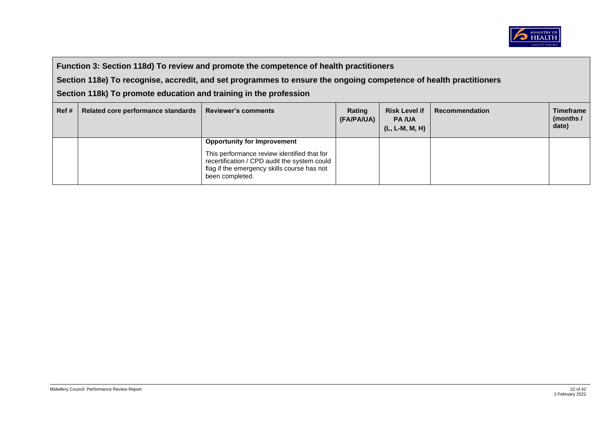

**Section 118e) To recognise, accredit, and set programmes to ensure the ongoing competence of health practitioners**

| Ref# | Related core performance standards | <b>Reviewer's comments</b>                                                                                                                                    | Rating<br>(FA/PA/UA) | <b>Risk Level if</b><br><b>PA/UA</b><br>(L, L-M, M, H) | Recommendation | <b>Timeframe</b><br>(months /<br>date) |
|------|------------------------------------|---------------------------------------------------------------------------------------------------------------------------------------------------------------|----------------------|--------------------------------------------------------|----------------|----------------------------------------|
|      |                                    | <b>Opportunity for Improvement</b>                                                                                                                            |                      |                                                        |                |                                        |
|      |                                    | This performance review identified that for<br>recertification / CPD audit the system could<br>flag if the emergency skills course has not<br>been completed. |                      |                                                        |                |                                        |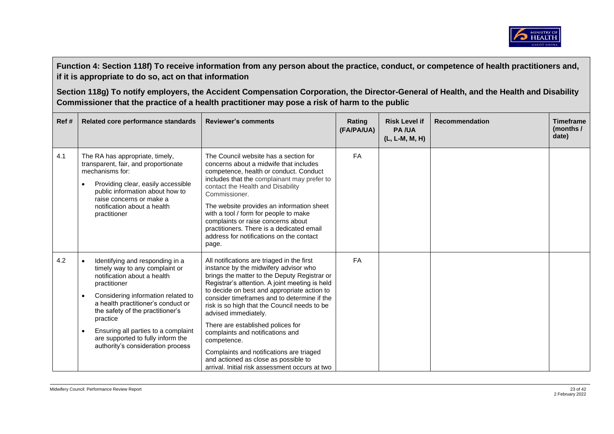

| Ref# | Related core performance standards                                                                                                                                                                                                                                                                                                                                                                   | <b>Reviewer's comments</b>                                                                                                                                                                                                                                                                                                                                                                                                                                                                                                                                                                | Rating<br>(FA/PA/UA) | <b>Risk Level if</b><br><b>PA/UA</b><br>(L, L-M, M, H) | <b>Recommendation</b> | <b>Timeframe</b><br>(months /<br>date) |
|------|------------------------------------------------------------------------------------------------------------------------------------------------------------------------------------------------------------------------------------------------------------------------------------------------------------------------------------------------------------------------------------------------------|-------------------------------------------------------------------------------------------------------------------------------------------------------------------------------------------------------------------------------------------------------------------------------------------------------------------------------------------------------------------------------------------------------------------------------------------------------------------------------------------------------------------------------------------------------------------------------------------|----------------------|--------------------------------------------------------|-----------------------|----------------------------------------|
| 4.1  | The RA has appropriate, timely,<br>transparent, fair, and proportionate<br>mechanisms for:<br>Providing clear, easily accessible<br>$\bullet$<br>public information about how to<br>raise concerns or make a<br>notification about a health<br>practitioner                                                                                                                                          | The Council website has a section for<br>concerns about a midwife that includes<br>competence, health or conduct. Conduct<br>includes that the complainant may prefer to<br>contact the Health and Disability<br>Commissioner.<br>The website provides an information sheet<br>with a tool / form for people to make<br>complaints or raise concerns about<br>practitioners. There is a dedicated email<br>address for notifications on the contact<br>page.                                                                                                                              | FA                   |                                                        |                       |                                        |
| 4.2  | Identifying and responding in a<br>$\bullet$<br>timely way to any complaint or<br>notification about a health<br>practitioner<br>Considering information related to<br>$\bullet$<br>a health practitioner's conduct or<br>the safety of the practitioner's<br>practice<br>Ensuring all parties to a complaint<br>$\bullet$<br>are supported to fully inform the<br>authority's consideration process | All notifications are triaged in the first<br>instance by the midwifery advisor who<br>brings the matter to the Deputy Registrar or<br>Registrar's attention. A joint meeting is held<br>to decide on best and appropriate action to<br>consider timeframes and to determine if the<br>risk is so high that the Council needs to be<br>advised immediately.<br>There are established polices for<br>complaints and notifications and<br>competence.<br>Complaints and notifications are triaged<br>and actioned as close as possible to<br>arrival. Initial risk assessment occurs at two | <b>FA</b>            |                                                        |                       |                                        |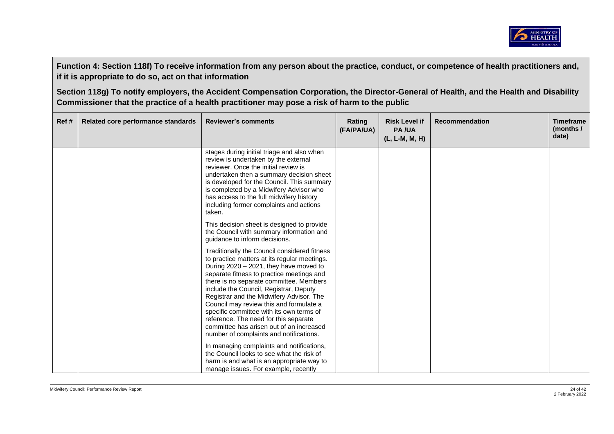

| Ref# | Related core performance standards | <b>Reviewer's comments</b>                                                                                                                                                                                                                                                                                                                                                                                                                                                                                                                     | Rating<br>(FA/PA/UA) | <b>Risk Level if</b><br><b>PA/UA</b><br>(L, L-M, M, H) | <b>Recommendation</b> | <b>Timeframe</b><br>(months $/$<br>date) |
|------|------------------------------------|------------------------------------------------------------------------------------------------------------------------------------------------------------------------------------------------------------------------------------------------------------------------------------------------------------------------------------------------------------------------------------------------------------------------------------------------------------------------------------------------------------------------------------------------|----------------------|--------------------------------------------------------|-----------------------|------------------------------------------|
|      |                                    | stages during initial triage and also when<br>review is undertaken by the external<br>reviewer. Once the initial review is<br>undertaken then a summary decision sheet<br>is developed for the Council. This summary<br>is completed by a Midwifery Advisor who<br>has access to the full midwifery history<br>including former complaints and actions<br>taken.                                                                                                                                                                               |                      |                                                        |                       |                                          |
|      |                                    | This decision sheet is designed to provide<br>the Council with summary information and<br>guidance to inform decisions.                                                                                                                                                                                                                                                                                                                                                                                                                        |                      |                                                        |                       |                                          |
|      |                                    | Traditionally the Council considered fitness<br>to practice matters at its regular meetings.<br>During $2020 - 2021$ , they have moved to<br>separate fitness to practice meetings and<br>there is no separate committee. Members<br>include the Council, Registrar, Deputy<br>Registrar and the Midwifery Advisor. The<br>Council may review this and formulate a<br>specific committee with its own terms of<br>reference. The need for this separate<br>committee has arisen out of an increased<br>number of complaints and notifications. |                      |                                                        |                       |                                          |
|      |                                    | In managing complaints and notifications,<br>the Council looks to see what the risk of<br>harm is and what is an appropriate way to<br>manage issues. For example, recently                                                                                                                                                                                                                                                                                                                                                                    |                      |                                                        |                       |                                          |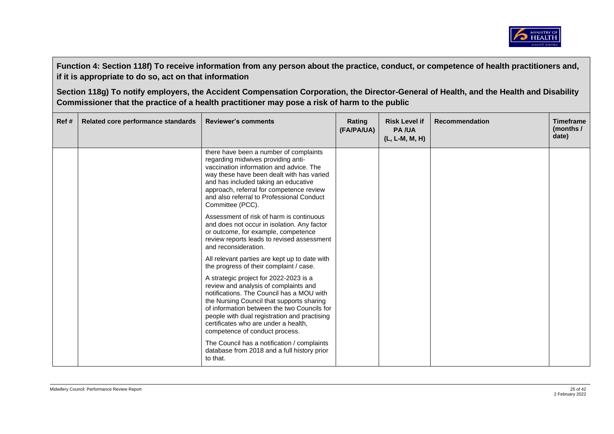

| Ref# | Related core performance standards | <b>Reviewer's comments</b>                                                                                                                                                                                                                                                                                                                         | Rating<br>(FA/PA/UA) | <b>Risk Level if</b><br><b>PA/UA</b><br>(L, L-M, M, H) | <b>Recommendation</b> | <b>Timeframe</b><br>(months $/$<br>date) |
|------|------------------------------------|----------------------------------------------------------------------------------------------------------------------------------------------------------------------------------------------------------------------------------------------------------------------------------------------------------------------------------------------------|----------------------|--------------------------------------------------------|-----------------------|------------------------------------------|
|      |                                    | there have been a number of complaints<br>regarding midwives providing anti-<br>vaccination information and advice. The<br>way these have been dealt with has varied<br>and has included taking an educative<br>approach, referral for competence review<br>and also referral to Professional Conduct<br>Committee (PCC).                          |                      |                                                        |                       |                                          |
|      |                                    | Assessment of risk of harm is continuous<br>and does not occur in isolation. Any factor<br>or outcome, for example, competence<br>review reports leads to revised assessment<br>and reconsideration.                                                                                                                                               |                      |                                                        |                       |                                          |
|      |                                    | All relevant parties are kept up to date with<br>the progress of their complaint / case.                                                                                                                                                                                                                                                           |                      |                                                        |                       |                                          |
|      |                                    | A strategic project for 2022-2023 is a<br>review and analysis of complaints and<br>notifications. The Council has a MOU with<br>the Nursing Council that supports sharing<br>of information between the two Councils for<br>people with dual registration and practising<br>certificates who are under a health.<br>competence of conduct process. |                      |                                                        |                       |                                          |
|      |                                    | The Council has a notification / complaints<br>database from 2018 and a full history prior<br>to that.                                                                                                                                                                                                                                             |                      |                                                        |                       |                                          |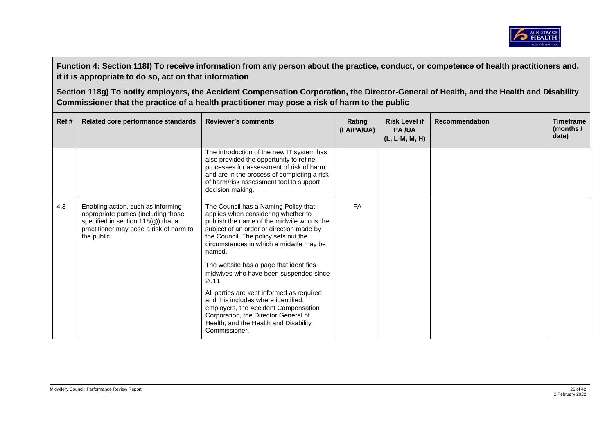

| Ref# | Related core performance standards                                                                                                                                         | <b>Reviewer's comments</b>                                                                                                                                                                                                                                         | Rating<br>(FA/PA/UA) | <b>Risk Level if</b><br><b>PA/UA</b><br>(L, L-M, M, H) | Recommendation | <b>Timeframe</b><br>(months /<br>date) |
|------|----------------------------------------------------------------------------------------------------------------------------------------------------------------------------|--------------------------------------------------------------------------------------------------------------------------------------------------------------------------------------------------------------------------------------------------------------------|----------------------|--------------------------------------------------------|----------------|----------------------------------------|
|      |                                                                                                                                                                            | The introduction of the new IT system has<br>also provided the opportunity to refine<br>processes for assessment of risk of harm<br>and are in the process of completing a risk<br>of harm/risk assessment tool to support<br>decision making.                     |                      |                                                        |                |                                        |
| 4.3  | Enabling action, such as informing<br>appropriate parties (including those<br>specified in section 118(g)) that a<br>practitioner may pose a risk of harm to<br>the public | The Council has a Naming Policy that<br>applies when considering whether to<br>publish the name of the midwife who is the<br>subject of an order or direction made by<br>the Council. The policy sets out the<br>circumstances in which a midwife may be<br>named. | <b>FA</b>            |                                                        |                |                                        |
|      |                                                                                                                                                                            | The website has a page that identifies<br>midwives who have been suspended since<br>2011.                                                                                                                                                                          |                      |                                                        |                |                                        |
|      |                                                                                                                                                                            | All parties are kept informed as required<br>and this includes where identified;<br>employers, the Accident Compensation<br>Corporation, the Director General of<br>Health, and the Health and Disability<br>Commissioner.                                         |                      |                                                        |                |                                        |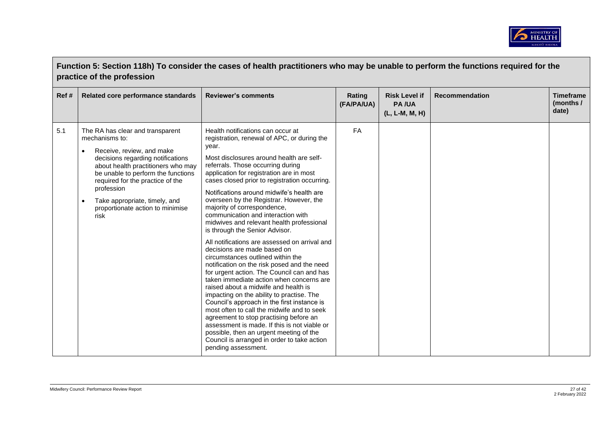

|      | Function 5: Section 118h) To consider the cases of health practitioners who may be unable to perform the functions required for the<br>practice of the profession                                                                                                                                                                            |                                                                                                                                                                                                                                                                                                                                                                                                                                                                                                                                                                                                                                                                                                                                                                                                                                                                                                                                                                                                                                                                                                                                                                                |                      |                                                        |                       |                                        |  |
|------|----------------------------------------------------------------------------------------------------------------------------------------------------------------------------------------------------------------------------------------------------------------------------------------------------------------------------------------------|--------------------------------------------------------------------------------------------------------------------------------------------------------------------------------------------------------------------------------------------------------------------------------------------------------------------------------------------------------------------------------------------------------------------------------------------------------------------------------------------------------------------------------------------------------------------------------------------------------------------------------------------------------------------------------------------------------------------------------------------------------------------------------------------------------------------------------------------------------------------------------------------------------------------------------------------------------------------------------------------------------------------------------------------------------------------------------------------------------------------------------------------------------------------------------|----------------------|--------------------------------------------------------|-----------------------|----------------------------------------|--|
| Ref# | Related core performance standards                                                                                                                                                                                                                                                                                                           | <b>Reviewer's comments</b>                                                                                                                                                                                                                                                                                                                                                                                                                                                                                                                                                                                                                                                                                                                                                                                                                                                                                                                                                                                                                                                                                                                                                     | Rating<br>(FA/PA/UA) | <b>Risk Level if</b><br><b>PA/UA</b><br>(L, L-M, M, H) | <b>Recommendation</b> | <b>Timeframe</b><br>(months /<br>date) |  |
| 5.1  | The RA has clear and transparent<br>mechanisms to:<br>Receive, review, and make<br>$\bullet$<br>decisions regarding notifications<br>about health practitioners who may<br>be unable to perform the functions<br>required for the practice of the<br>profession<br>Take appropriate, timely, and<br>proportionate action to minimise<br>risk | Health notifications can occur at<br>registration, renewal of APC, or during the<br>year.<br>Most disclosures around health are self-<br>referrals. Those occurring during<br>application for registration are in most<br>cases closed prior to registration occurring.<br>Notifications around midwife's health are<br>overseen by the Registrar. However, the<br>majority of correspondence,<br>communication and interaction with<br>midwives and relevant health professional<br>is through the Senior Advisor.<br>All notifications are assessed on arrival and<br>decisions are made based on<br>circumstances outlined within the<br>notification on the risk posed and the need<br>for urgent action. The Council can and has<br>taken immediate action when concerns are<br>raised about a midwife and health is<br>impacting on the ability to practise. The<br>Council's approach in the first instance is<br>most often to call the midwife and to seek<br>agreement to stop practising before an<br>assessment is made. If this is not viable or<br>possible, then an urgent meeting of the<br>Council is arranged in order to take action<br>pending assessment. | FA                   |                                                        |                       |                                        |  |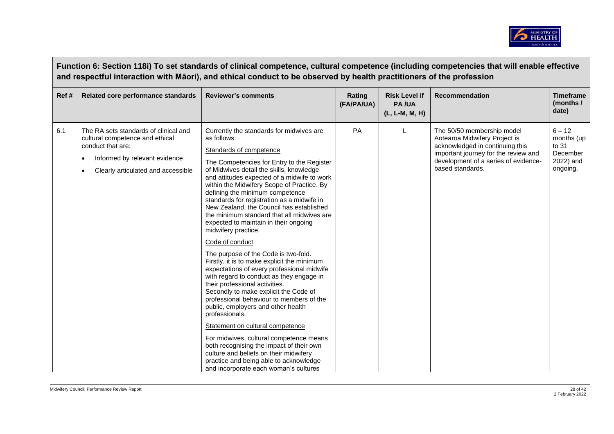

|      | Function 6: Section 118i) To set standards of clinical competence, cultural competence (including competencies that will enable effective<br>and respectful interaction with Māori), and ethical conduct to be observed by health practitioners of the profession |                                                                                                                                                                                                                                                                                                                                                                                                                                                                                                                                                                                                                                                                                                                                                                                                                                                                                                                                                                                                                                                                                                                                                                 |                      |                                                        |                                                                                                                                                                                                    |                                                                      |  |  |  |
|------|-------------------------------------------------------------------------------------------------------------------------------------------------------------------------------------------------------------------------------------------------------------------|-----------------------------------------------------------------------------------------------------------------------------------------------------------------------------------------------------------------------------------------------------------------------------------------------------------------------------------------------------------------------------------------------------------------------------------------------------------------------------------------------------------------------------------------------------------------------------------------------------------------------------------------------------------------------------------------------------------------------------------------------------------------------------------------------------------------------------------------------------------------------------------------------------------------------------------------------------------------------------------------------------------------------------------------------------------------------------------------------------------------------------------------------------------------|----------------------|--------------------------------------------------------|----------------------------------------------------------------------------------------------------------------------------------------------------------------------------------------------------|----------------------------------------------------------------------|--|--|--|
| Ref# | Related core performance standards                                                                                                                                                                                                                                | <b>Reviewer's comments</b>                                                                                                                                                                                                                                                                                                                                                                                                                                                                                                                                                                                                                                                                                                                                                                                                                                                                                                                                                                                                                                                                                                                                      | Rating<br>(FA/PA/UA) | <b>Risk Level if</b><br><b>PA/UA</b><br>(L, L-M, M, H) | <b>Recommendation</b>                                                                                                                                                                              | <b>Timeframe</b><br>(months /<br>date)                               |  |  |  |
| 6.1  | The RA sets standards of clinical and<br>cultural competence and ethical<br>conduct that are:<br>Informed by relevant evidence<br>Clearly articulated and accessible<br>٠                                                                                         | Currently the standards for midwives are<br>as follows:<br>Standards of competence<br>The Competencies for Entry to the Register<br>of Midwives detail the skills, knowledge<br>and attitudes expected of a midwife to work<br>within the Midwifery Scope of Practice. By<br>defining the minimum competence<br>standards for registration as a midwife in<br>New Zealand, the Council has established<br>the minimum standard that all midwives are<br>expected to maintain in their ongoing<br>midwifery practice.<br>Code of conduct<br>The purpose of the Code is two-fold.<br>Firstly, it is to make explicit the minimum<br>expectations of every professional midwife<br>with regard to conduct as they engage in<br>their professional activities.<br>Secondly to make explicit the Code of<br>professional behaviour to members of the<br>public, employers and other health<br>professionals.<br>Statement on cultural competence<br>For midwives, cultural competence means<br>both recognising the impact of their own<br>culture and beliefs on their midwifery<br>practice and being able to acknowledge<br>and incorporate each woman's cultures | PA                   |                                                        | The 50/50 membership model<br>Aotearoa Midwifery Project is<br>acknowledged in continuing this<br>important journey for the review and<br>development of a series of evidence-<br>based standards. | $6 - 12$<br>months (up<br>to 31<br>December<br>2022) and<br>ongoing. |  |  |  |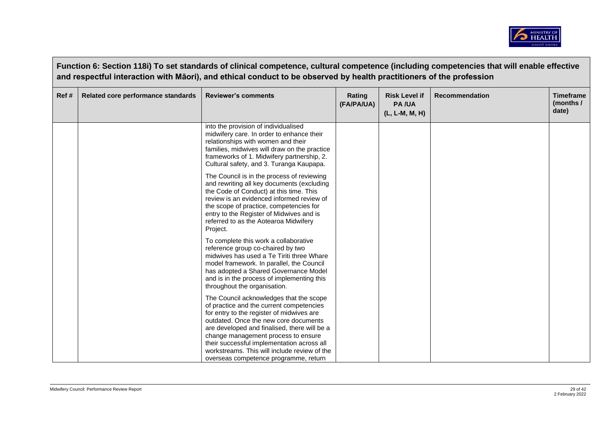

|       | and respectful interaction with Māori), and ethical conduct to be observed by health practitioners of the profession |                                                                                                                                                                                                                                                                                                                                                                                                         |                      |                                                        |                       |                                        |  |  |  |
|-------|----------------------------------------------------------------------------------------------------------------------|---------------------------------------------------------------------------------------------------------------------------------------------------------------------------------------------------------------------------------------------------------------------------------------------------------------------------------------------------------------------------------------------------------|----------------------|--------------------------------------------------------|-----------------------|----------------------------------------|--|--|--|
| Ref # | Related core performance standards                                                                                   | <b>Reviewer's comments</b>                                                                                                                                                                                                                                                                                                                                                                              | Rating<br>(FA/PA/UA) | <b>Risk Level if</b><br><b>PA/UA</b><br>(L, L-M, M, H) | <b>Recommendation</b> | <b>Timeframe</b><br>(months /<br>date) |  |  |  |
|       |                                                                                                                      | into the provision of individualised<br>midwifery care. In order to enhance their<br>relationships with women and their<br>families, midwives will draw on the practice<br>frameworks of 1. Midwifery partnership, 2.<br>Cultural safety, and 3. Turanga Kaupapa.                                                                                                                                       |                      |                                                        |                       |                                        |  |  |  |
|       |                                                                                                                      | The Council is in the process of reviewing<br>and rewriting all key documents (excluding<br>the Code of Conduct) at this time. This<br>review is an evidenced informed review of<br>the scope of practice, competencies for<br>entry to the Register of Midwives and is<br>referred to as the Aotearoa Midwifery<br>Project.                                                                            |                      |                                                        |                       |                                        |  |  |  |
|       |                                                                                                                      | To complete this work a collaborative<br>reference group co-chaired by two<br>midwives has used a Te Tiriti three Whare<br>model framework. In parallel, the Council<br>has adopted a Shared Governance Model<br>and is in the process of implementing this<br>throughout the organisation.                                                                                                             |                      |                                                        |                       |                                        |  |  |  |
|       |                                                                                                                      | The Council acknowledges that the scope<br>of practice and the current competencies<br>for entry to the register of midwives are<br>outdated. Once the new core documents<br>are developed and finalised, there will be a<br>change management process to ensure<br>their successful implementation across all<br>workstreams. This will include review of the<br>overseas competence programme, return |                      |                                                        |                       |                                        |  |  |  |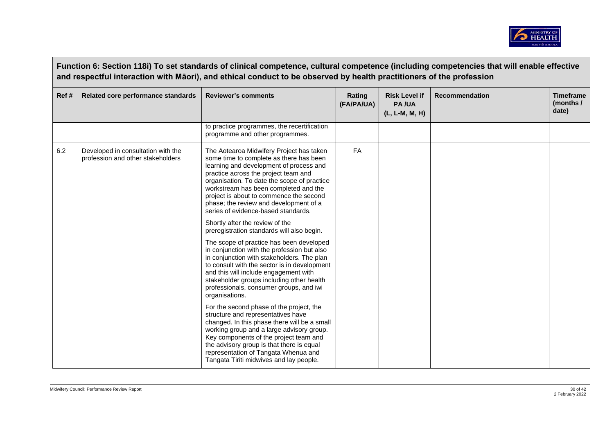

|      | Function 6: Section 118i) To set standards of clinical competence, cultural competence (including competencies that will enable effective<br>and respectful interaction with Māori), and ethical conduct to be observed by health practitioners of the profession |                                                                                                                                                                                                                                                                                                                                                                                            |                      |                                                        |                       |                                        |  |  |  |
|------|-------------------------------------------------------------------------------------------------------------------------------------------------------------------------------------------------------------------------------------------------------------------|--------------------------------------------------------------------------------------------------------------------------------------------------------------------------------------------------------------------------------------------------------------------------------------------------------------------------------------------------------------------------------------------|----------------------|--------------------------------------------------------|-----------------------|----------------------------------------|--|--|--|
| Ref# | Related core performance standards                                                                                                                                                                                                                                | <b>Reviewer's comments</b>                                                                                                                                                                                                                                                                                                                                                                 | Rating<br>(FA/PA/UA) | <b>Risk Level if</b><br><b>PA/UA</b><br>(L, L-M, M, H) | <b>Recommendation</b> | <b>Timeframe</b><br>(months /<br>date) |  |  |  |
|      |                                                                                                                                                                                                                                                                   | to practice programmes, the recertification<br>programme and other programmes.                                                                                                                                                                                                                                                                                                             |                      |                                                        |                       |                                        |  |  |  |
| 6.2  | Developed in consultation with the<br>profession and other stakeholders                                                                                                                                                                                           | The Aotearoa Midwifery Project has taken<br>some time to complete as there has been<br>learning and development of process and<br>practice across the project team and<br>organisation. To date the scope of practice<br>workstream has been completed and the<br>project is about to commence the second<br>phase; the review and development of a<br>series of evidence-based standards. | <b>FA</b>            |                                                        |                       |                                        |  |  |  |
|      |                                                                                                                                                                                                                                                                   | Shortly after the review of the<br>preregistration standards will also begin.                                                                                                                                                                                                                                                                                                              |                      |                                                        |                       |                                        |  |  |  |
|      |                                                                                                                                                                                                                                                                   | The scope of practice has been developed<br>in conjunction with the profession but also<br>in conjunction with stakeholders. The plan<br>to consult with the sector is in development<br>and this will include engagement with<br>stakeholder groups including other health<br>professionals, consumer groups, and iwi<br>organisations.                                                   |                      |                                                        |                       |                                        |  |  |  |
|      |                                                                                                                                                                                                                                                                   | For the second phase of the project, the<br>structure and representatives have<br>changed. In this phase there will be a small<br>working group and a large advisory group.<br>Key components of the project team and<br>the advisory group is that there is equal<br>representation of Tangata Whenua and<br>Tangata Tiriti midwives and lay people.                                      |                      |                                                        |                       |                                        |  |  |  |

 $\sqrt{ }$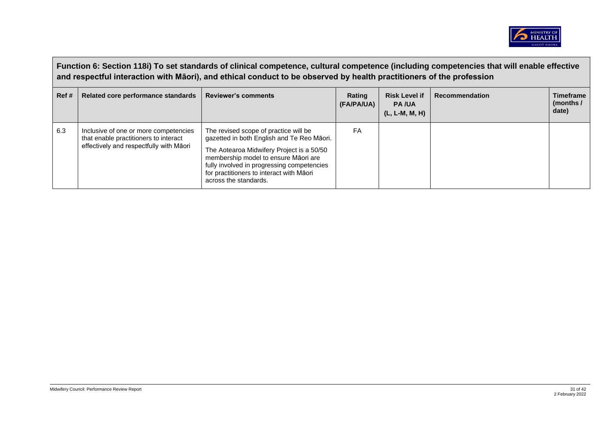

|       | Function 6: Section 118i) To set standards of clinical competence, cultural competence (including competencies that will enable effective<br>and respectful interaction with Māori), and ethical conduct to be observed by health practitioners of the profession |                                                                                                                                                                                                                                                                                             |                      |                                                        |                |                                        |  |  |
|-------|-------------------------------------------------------------------------------------------------------------------------------------------------------------------------------------------------------------------------------------------------------------------|---------------------------------------------------------------------------------------------------------------------------------------------------------------------------------------------------------------------------------------------------------------------------------------------|----------------------|--------------------------------------------------------|----------------|----------------------------------------|--|--|
| Ref # | Related core performance standards                                                                                                                                                                                                                                | <b>Reviewer's comments</b>                                                                                                                                                                                                                                                                  | Rating<br>(FA/PA/UA) | <b>Risk Level if</b><br><b>PA/UA</b><br>(L, L-M, M, H) | Recommendation | <b>Timeframe</b><br>(months /<br>date) |  |  |
| 6.3   | Inclusive of one or more competencies<br>that enable practitioners to interact<br>effectively and respectfully with Māori                                                                                                                                         | The revised scope of practice will be<br>gazetted in both English and Te Reo Māori.<br>The Aotearoa Midwifery Project is a 50/50<br>membership model to ensure Māori are<br>fully involved in progressing competencies<br>for practitioners to interact with Māori<br>across the standards. | FA                   |                                                        |                |                                        |  |  |

 $\sqrt{ }$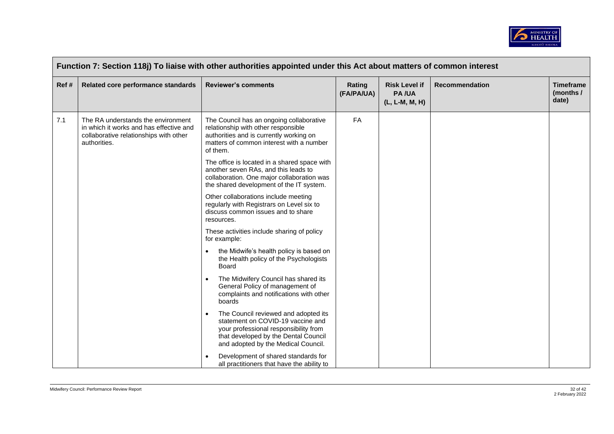

| Ref# | Related core performance standards                                                                                                      | <b>Reviewer's comments</b>                                                                                                                                                                        | Rating<br>(FA/PA/UA) | <b>Risk Level if</b><br><b>PA/UA</b><br>(L, L-M, M, H) | Recommendation | <b>Timeframe</b><br>(months /<br>date) |
|------|-----------------------------------------------------------------------------------------------------------------------------------------|---------------------------------------------------------------------------------------------------------------------------------------------------------------------------------------------------|----------------------|--------------------------------------------------------|----------------|----------------------------------------|
| 7.1  | The RA understands the environment<br>in which it works and has effective and<br>collaborative relationships with other<br>authorities. | The Council has an ongoing collaborative<br>relationship with other responsible<br>authorities and is currently working on<br>matters of common interest with a number<br>of them.                | FA                   |                                                        |                |                                        |
|      |                                                                                                                                         | The office is located in a shared space with<br>another seven RAs, and this leads to<br>collaboration. One major collaboration was<br>the shared development of the IT system.                    |                      |                                                        |                |                                        |
|      |                                                                                                                                         | Other collaborations include meeting<br>regularly with Registrars on Level six to<br>discuss common issues and to share<br>resources.                                                             |                      |                                                        |                |                                        |
|      |                                                                                                                                         | These activities include sharing of policy<br>for example:                                                                                                                                        |                      |                                                        |                |                                        |
|      |                                                                                                                                         | the Midwife's health policy is based on<br>$\bullet$<br>the Health policy of the Psychologists<br>Board                                                                                           |                      |                                                        |                |                                        |
|      |                                                                                                                                         | The Midwifery Council has shared its<br>$\bullet$<br>General Policy of management of<br>complaints and notifications with other<br>boards                                                         |                      |                                                        |                |                                        |
|      | $\bullet$                                                                                                                               | The Council reviewed and adopted its<br>statement on COVID-19 vaccine and<br>your professional responsibility from<br>that developed by the Dental Council<br>and adopted by the Medical Council. |                      |                                                        |                |                                        |
|      |                                                                                                                                         | Development of shared standards for<br>$\bullet$<br>all practitioners that have the ability to                                                                                                    |                      |                                                        |                |                                        |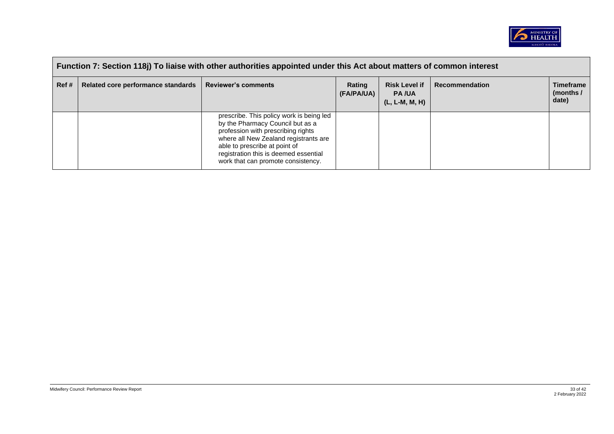

|          | Function 7: Section 118j) To liaise with other authorities appointed under this Act about matters of common interest |                                                                                                                                                                                                                                                                             |                      |                                                          |                       |                                        |  |  |  |
|----------|----------------------------------------------------------------------------------------------------------------------|-----------------------------------------------------------------------------------------------------------------------------------------------------------------------------------------------------------------------------------------------------------------------------|----------------------|----------------------------------------------------------|-----------------------|----------------------------------------|--|--|--|
| $R$ ef # | Related core performance standards                                                                                   | <b>Reviewer's comments</b>                                                                                                                                                                                                                                                  | Rating<br>(FA/PA/UA) | <b>Risk Level if</b><br><b>PA/UA</b><br>$(L, L-M, M, H)$ | <b>Recommendation</b> | <b>Timeframe</b><br>(months /<br>date) |  |  |  |
|          |                                                                                                                      | prescribe. This policy work is being led<br>by the Pharmacy Council but as a<br>profession with prescribing rights<br>where all New Zealand registrants are<br>able to prescribe at point of<br>registration this is deemed essential<br>work that can promote consistency. |                      |                                                          |                       |                                        |  |  |  |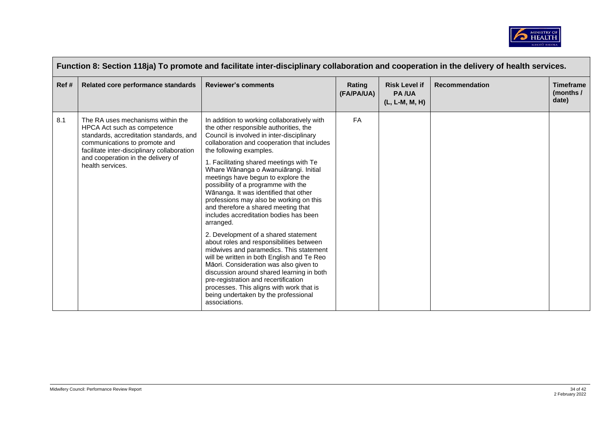

|      | Function 8: Section 118ja) To promote and facilitate inter-disciplinary collaboration and cooperation in the delivery of health services.                                                                                                             |                                                                                                                                                                                                                                                                                                                                                                                                                                                                                                                                                                                                                                                                                                                                                                                                                                                                                                                                                                                  |                      |                                                        |                       |                                        |  |  |  |
|------|-------------------------------------------------------------------------------------------------------------------------------------------------------------------------------------------------------------------------------------------------------|----------------------------------------------------------------------------------------------------------------------------------------------------------------------------------------------------------------------------------------------------------------------------------------------------------------------------------------------------------------------------------------------------------------------------------------------------------------------------------------------------------------------------------------------------------------------------------------------------------------------------------------------------------------------------------------------------------------------------------------------------------------------------------------------------------------------------------------------------------------------------------------------------------------------------------------------------------------------------------|----------------------|--------------------------------------------------------|-----------------------|----------------------------------------|--|--|--|
| Ref# | Related core performance standards                                                                                                                                                                                                                    | <b>Reviewer's comments</b>                                                                                                                                                                                                                                                                                                                                                                                                                                                                                                                                                                                                                                                                                                                                                                                                                                                                                                                                                       | Rating<br>(FA/PA/UA) | <b>Risk Level if</b><br><b>PA/UA</b><br>(L, L-M, M, H) | <b>Recommendation</b> | <b>Timeframe</b><br>(months /<br>date) |  |  |  |
| 8.1  | The RA uses mechanisms within the<br>HPCA Act such as competence<br>standards, accreditation standards, and<br>communications to promote and<br>facilitate inter-disciplinary collaboration<br>and cooperation in the delivery of<br>health services. | In addition to working collaboratively with<br>the other responsible authorities, the<br>Council is involved in inter-disciplinary<br>collaboration and cooperation that includes<br>the following examples.<br>1. Facilitating shared meetings with Te<br>Whare Wānanga o Awanuiārangi. Initial<br>meetings have begun to explore the<br>possibility of a programme with the<br>Wānanga. It was identified that other<br>professions may also be working on this<br>and therefore a shared meeting that<br>includes accreditation bodies has been<br>arranged.<br>2. Development of a shared statement<br>about roles and responsibilities between<br>midwives and paramedics. This statement<br>will be written in both English and Te Reo<br>Māori. Consideration was also given to<br>discussion around shared learning in both<br>pre-registration and recertification<br>processes. This aligns with work that is<br>being undertaken by the professional<br>associations. | <b>FA</b>            |                                                        |                       |                                        |  |  |  |

 $\Box$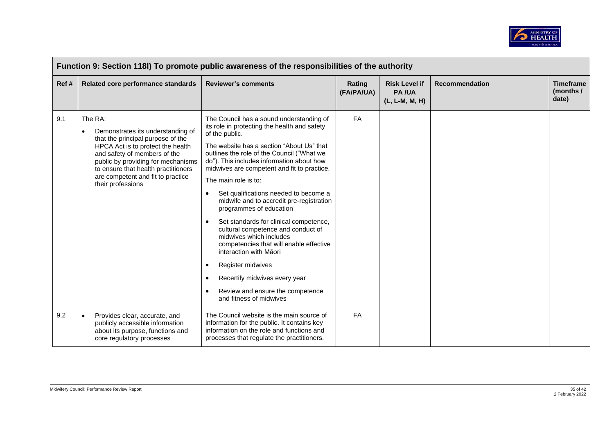

| Function 9: Section 118I) To promote public awareness of the responsibilities of the authority |                                                                                                                                                                                                                                                                                                            |                                                                                                                                                                                                                                                                                                                                                                                                                                                                                                                                                                                                                                                                                                                                                                                                                 |                      |                                                        |                       |                                        |  |  |
|------------------------------------------------------------------------------------------------|------------------------------------------------------------------------------------------------------------------------------------------------------------------------------------------------------------------------------------------------------------------------------------------------------------|-----------------------------------------------------------------------------------------------------------------------------------------------------------------------------------------------------------------------------------------------------------------------------------------------------------------------------------------------------------------------------------------------------------------------------------------------------------------------------------------------------------------------------------------------------------------------------------------------------------------------------------------------------------------------------------------------------------------------------------------------------------------------------------------------------------------|----------------------|--------------------------------------------------------|-----------------------|----------------------------------------|--|--|
| Ref #                                                                                          | Related core performance standards                                                                                                                                                                                                                                                                         | <b>Reviewer's comments</b>                                                                                                                                                                                                                                                                                                                                                                                                                                                                                                                                                                                                                                                                                                                                                                                      | Rating<br>(FA/PA/UA) | <b>Risk Level if</b><br><b>PA/UA</b><br>(L, L-M, M, H) | <b>Recommendation</b> | <b>Timeframe</b><br>(months /<br>date) |  |  |
| 9.1                                                                                            | The RA:<br>Demonstrates its understanding of<br>$\bullet$<br>that the principal purpose of the<br>HPCA Act is to protect the health<br>and safety of members of the<br>public by providing for mechanisms<br>to ensure that health practitioners<br>are competent and fit to practice<br>their professions | The Council has a sound understanding of<br>its role in protecting the health and safety<br>of the public.<br>The website has a section "About Us" that<br>outlines the role of the Council ("What we<br>do"). This includes information about how<br>midwives are competent and fit to practice.<br>The main role is to:<br>Set qualifications needed to become a<br>$\bullet$<br>midwife and to accredit pre-registration<br>programmes of education<br>Set standards for clinical competence,<br>$\bullet$<br>cultural competence and conduct of<br>midwives which includes<br>competencies that will enable effective<br>interaction with Māori<br>Register midwives<br>$\bullet$<br>Recertify midwives every year<br>$\bullet$<br>Review and ensure the competence<br>$\bullet$<br>and fitness of midwives | FA                   |                                                        |                       |                                        |  |  |
| 9.2                                                                                            | $\bullet$<br>Provides clear, accurate, and<br>publicly accessible information<br>about its purpose, functions and<br>core regulatory processes                                                                                                                                                             | The Council website is the main source of<br>information for the public. It contains key<br>information on the role and functions and<br>processes that regulate the practitioners.                                                                                                                                                                                                                                                                                                                                                                                                                                                                                                                                                                                                                             | FA                   |                                                        |                       |                                        |  |  |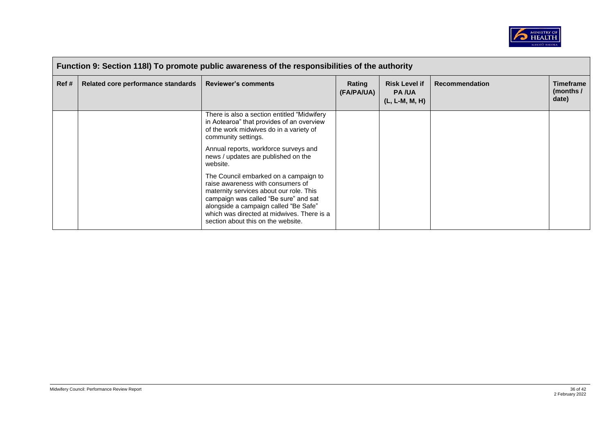

| Function 9: Section 118I) To promote public awareness of the responsibilities of the authority |                                    |                                                                                                                                                                                                                                                                                             |                      |                                                          |                       |                                        |  |  |
|------------------------------------------------------------------------------------------------|------------------------------------|---------------------------------------------------------------------------------------------------------------------------------------------------------------------------------------------------------------------------------------------------------------------------------------------|----------------------|----------------------------------------------------------|-----------------------|----------------------------------------|--|--|
| Ref #                                                                                          | Related core performance standards | <b>Reviewer's comments</b>                                                                                                                                                                                                                                                                  | Rating<br>(FA/PA/UA) | <b>Risk Level if</b><br><b>PA/UA</b><br>$(L, L-M, M, H)$ | <b>Recommendation</b> | <b>Timeframe</b><br>(months /<br>date) |  |  |
|                                                                                                |                                    | There is also a section entitled "Midwifery"<br>in Aotearoa" that provides of an overview<br>of the work midwives do in a variety of<br>community settings.                                                                                                                                 |                      |                                                          |                       |                                        |  |  |
|                                                                                                |                                    | Annual reports, workforce surveys and<br>news / updates are published on the<br>website.                                                                                                                                                                                                    |                      |                                                          |                       |                                        |  |  |
|                                                                                                |                                    | The Council embarked on a campaign to<br>raise awareness with consumers of<br>maternity services about our role. This<br>campaign was called "Be sure" and sat<br>alongside a campaign called "Be Safe"<br>which was directed at midwives. There is a<br>section about this on the website. |                      |                                                          |                       |                                        |  |  |

 $\blacksquare$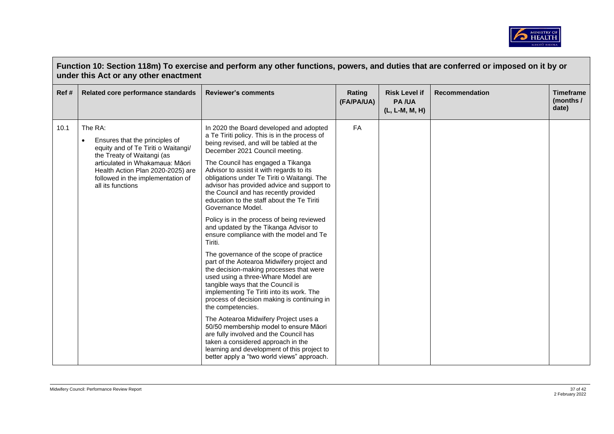

|      | Function 10: Section 118m) To exercise and perform any other functions, powers, and duties that are conferred or imposed on it by or<br>under this Act or any other enactment                                                                                 |                                                                                                                                                                                                                                                                                                                                                                                                                                                                                                                                                                                                                                                                                                                                                                                                                                                                                                                                                                                                                                                                                                                                                                                                               |                      |                                                        |                       |                                        |  |  |
|------|---------------------------------------------------------------------------------------------------------------------------------------------------------------------------------------------------------------------------------------------------------------|---------------------------------------------------------------------------------------------------------------------------------------------------------------------------------------------------------------------------------------------------------------------------------------------------------------------------------------------------------------------------------------------------------------------------------------------------------------------------------------------------------------------------------------------------------------------------------------------------------------------------------------------------------------------------------------------------------------------------------------------------------------------------------------------------------------------------------------------------------------------------------------------------------------------------------------------------------------------------------------------------------------------------------------------------------------------------------------------------------------------------------------------------------------------------------------------------------------|----------------------|--------------------------------------------------------|-----------------------|----------------------------------------|--|--|
| Ref# | Related core performance standards                                                                                                                                                                                                                            | <b>Reviewer's comments</b>                                                                                                                                                                                                                                                                                                                                                                                                                                                                                                                                                                                                                                                                                                                                                                                                                                                                                                                                                                                                                                                                                                                                                                                    | Rating<br>(FA/PA/UA) | <b>Risk Level if</b><br><b>PA/UA</b><br>(L, L-M, M, H) | <b>Recommendation</b> | <b>Timeframe</b><br>(months /<br>date) |  |  |
| 10.1 | The RA:<br>Ensures that the principles of<br>$\bullet$<br>equity and of Te Tiriti o Waitangi/<br>the Treaty of Waitangi (as<br>articulated in Whakamaua: Māori<br>Health Action Plan 2020-2025) are<br>followed in the implementation of<br>all its functions | In 2020 the Board developed and adopted<br>a Te Tiriti policy. This is in the process of<br>being revised, and will be tabled at the<br>December 2021 Council meeting.<br>The Council has engaged a Tikanga<br>Advisor to assist it with regards to its<br>obligations under Te Tiriti o Waitangi. The<br>advisor has provided advice and support to<br>the Council and has recently provided<br>education to the staff about the Te Tiriti<br>Governance Model.<br>Policy is in the process of being reviewed<br>and updated by the Tikanga Advisor to<br>ensure compliance with the model and Te<br>Tiriti.<br>The governance of the scope of practice<br>part of the Aotearoa Midwifery project and<br>the decision-making processes that were<br>used using a three-Whare Model are<br>tangible ways that the Council is<br>implementing Te Tiriti into its work. The<br>process of decision making is continuing in<br>the competencies.<br>The Aotearoa Midwifery Project uses a<br>50/50 membership model to ensure Māori<br>are fully involved and the Council has<br>taken a considered approach in the<br>learning and development of this project to<br>better apply a "two world views" approach. | <b>FA</b>            |                                                        |                       |                                        |  |  |

 $\Box$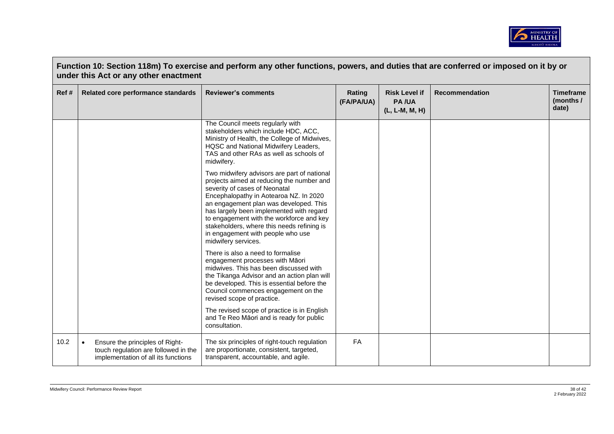

|      | Function 10: Section 118m) To exercise and perform any other functions, powers, and duties that are conferred or imposed on it by or<br>under this Act or any other enactment |                                                                                                                                                                                                                                                                                                                                                                                                                 |                      |                                                        |                       |                                        |  |  |  |
|------|-------------------------------------------------------------------------------------------------------------------------------------------------------------------------------|-----------------------------------------------------------------------------------------------------------------------------------------------------------------------------------------------------------------------------------------------------------------------------------------------------------------------------------------------------------------------------------------------------------------|----------------------|--------------------------------------------------------|-----------------------|----------------------------------------|--|--|--|
| Ref# | Related core performance standards                                                                                                                                            | <b>Reviewer's comments</b>                                                                                                                                                                                                                                                                                                                                                                                      | Rating<br>(FA/PA/UA) | <b>Risk Level if</b><br><b>PA/UA</b><br>(L, L-M, M, H) | <b>Recommendation</b> | <b>Timeframe</b><br>(months /<br>date) |  |  |  |
|      |                                                                                                                                                                               | The Council meets regularly with<br>stakeholders which include HDC, ACC,<br>Ministry of Health, the College of Midwives,<br>HQSC and National Midwifery Leaders,<br>TAS and other RAs as well as schools of<br>midwifery.                                                                                                                                                                                       |                      |                                                        |                       |                                        |  |  |  |
|      |                                                                                                                                                                               | Two midwifery advisors are part of national<br>projects aimed at reducing the number and<br>severity of cases of Neonatal<br>Encephalopathy in Aotearoa NZ. In 2020<br>an engagement plan was developed. This<br>has largely been implemented with regard<br>to engagement with the workforce and key<br>stakeholders, where this needs refining is<br>in engagement with people who use<br>midwifery services. |                      |                                                        |                       |                                        |  |  |  |
|      |                                                                                                                                                                               | There is also a need to formalise<br>engagement processes with Māori<br>midwives. This has been discussed with<br>the Tikanga Advisor and an action plan will<br>be developed. This is essential before the<br>Council commences engagement on the<br>revised scope of practice.                                                                                                                                |                      |                                                        |                       |                                        |  |  |  |
|      |                                                                                                                                                                               | The revised scope of practice is in English<br>and Te Reo Māori and is ready for public<br>consultation.                                                                                                                                                                                                                                                                                                        |                      |                                                        |                       |                                        |  |  |  |
| 10.2 | Ensure the principles of Right-<br>$\bullet$<br>touch regulation are followed in the<br>implementation of all its functions                                                   | The six principles of right-touch regulation<br>are proportionate, consistent, targeted,<br>transparent, accountable, and agile.                                                                                                                                                                                                                                                                                | <b>FA</b>            |                                                        |                       |                                        |  |  |  |

 $\sqrt{ }$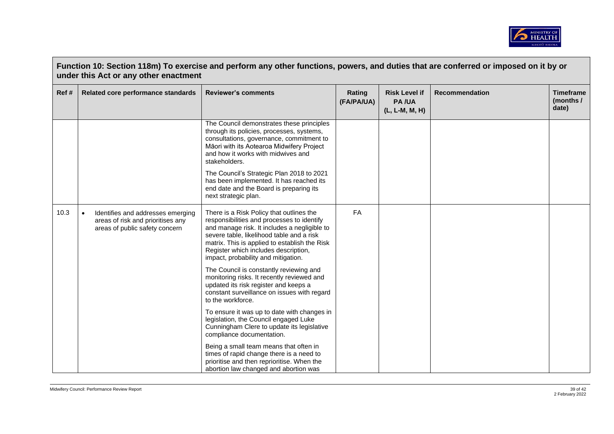

|       | Function 10: Section 118m) To exercise and perform any other functions, powers, and duties that are conferred or imposed on it by or<br>under this Act or any other enactment |                                                                                                                                                                                                                                                                                                                     |                      |                                                        |                       |                                        |  |  |  |
|-------|-------------------------------------------------------------------------------------------------------------------------------------------------------------------------------|---------------------------------------------------------------------------------------------------------------------------------------------------------------------------------------------------------------------------------------------------------------------------------------------------------------------|----------------------|--------------------------------------------------------|-----------------------|----------------------------------------|--|--|--|
| Ref # | Related core performance standards                                                                                                                                            | <b>Reviewer's comments</b>                                                                                                                                                                                                                                                                                          | Rating<br>(FA/PA/UA) | <b>Risk Level if</b><br><b>PA/UA</b><br>(L, L-M, M, H) | <b>Recommendation</b> | <b>Timeframe</b><br>(months /<br>date) |  |  |  |
|       |                                                                                                                                                                               | The Council demonstrates these principles<br>through its policies, processes, systems,<br>consultations, governance, commitment to<br>Māori with its Aotearoa Midwifery Project<br>and how it works with midwives and<br>stakeholders.                                                                              |                      |                                                        |                       |                                        |  |  |  |
|       |                                                                                                                                                                               | The Council's Strategic Plan 2018 to 2021<br>has been implemented. It has reached its<br>end date and the Board is preparing its<br>next strategic plan.                                                                                                                                                            |                      |                                                        |                       |                                        |  |  |  |
| 10.3  | Identifies and addresses emerging<br>$\bullet$<br>areas of risk and prioritises any<br>areas of public safety concern                                                         | There is a Risk Policy that outlines the<br>responsibilities and processes to identify<br>and manage risk. It includes a negligible to<br>severe table, likelihood table and a risk<br>matrix. This is applied to establish the Risk<br>Register which includes description,<br>impact, probability and mitigation. | FA                   |                                                        |                       |                                        |  |  |  |
|       |                                                                                                                                                                               | The Council is constantly reviewing and<br>monitoring risks. It recently reviewed and<br>updated its risk register and keeps a<br>constant surveillance on issues with regard<br>to the workforce.                                                                                                                  |                      |                                                        |                       |                                        |  |  |  |
|       |                                                                                                                                                                               | To ensure it was up to date with changes in<br>legislation, the Council engaged Luke<br>Cunningham Clere to update its legislative<br>compliance documentation.                                                                                                                                                     |                      |                                                        |                       |                                        |  |  |  |
|       |                                                                                                                                                                               | Being a small team means that often in<br>times of rapid change there is a need to<br>prioritise and then reprioritise. When the<br>abortion law changed and abortion was                                                                                                                                           |                      |                                                        |                       |                                        |  |  |  |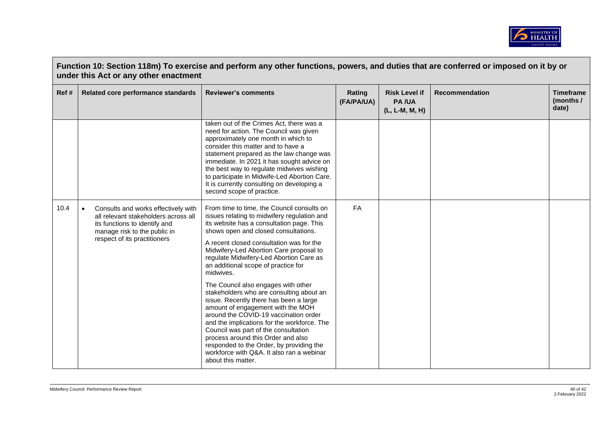

| Function 10: Section 118m) To exercise and perform any other functions, powers, and duties that are conferred or imposed on it by or<br>under this Act or any other enactment |                                                                                                                                                                                           |                                                                                                                                                                                                                                                                                                                                                                                                                                                                                                                                                                                                                                                                                                                                                                                                                             |                      |                                                        |                       |                                        |  |
|-------------------------------------------------------------------------------------------------------------------------------------------------------------------------------|-------------------------------------------------------------------------------------------------------------------------------------------------------------------------------------------|-----------------------------------------------------------------------------------------------------------------------------------------------------------------------------------------------------------------------------------------------------------------------------------------------------------------------------------------------------------------------------------------------------------------------------------------------------------------------------------------------------------------------------------------------------------------------------------------------------------------------------------------------------------------------------------------------------------------------------------------------------------------------------------------------------------------------------|----------------------|--------------------------------------------------------|-----------------------|----------------------------------------|--|
| Ref #                                                                                                                                                                         | Related core performance standards                                                                                                                                                        | <b>Reviewer's comments</b>                                                                                                                                                                                                                                                                                                                                                                                                                                                                                                                                                                                                                                                                                                                                                                                                  | Rating<br>(FA/PA/UA) | <b>Risk Level if</b><br><b>PA/UA</b><br>(L, L-M, M, H) | <b>Recommendation</b> | <b>Timeframe</b><br>(months /<br>date) |  |
|                                                                                                                                                                               |                                                                                                                                                                                           | taken out of the Crimes Act, there was a<br>need for action. The Council was given<br>approximately one month in which to<br>consider this matter and to have a<br>statement prepared as the law change was<br>immediate. In 2021 it has sought advice on<br>the best way to regulate midwives wishing<br>to participate in Midwife-Led Abortion Care.<br>It is currently consulting on developing a<br>second scope of practice.                                                                                                                                                                                                                                                                                                                                                                                           |                      |                                                        |                       |                                        |  |
| 10.4                                                                                                                                                                          | Consults and works effectively with<br>$\bullet$<br>all relevant stakeholders across all<br>its functions to identify and<br>manage risk to the public in<br>respect of its practitioners | From time to time, the Council consults on<br>issues relating to midwifery regulation and<br>its website has a consultation page. This<br>shows open and closed consultations.<br>A recent closed consultation was for the<br>Midwifery-Led Abortion Care proposal to<br>regulate Midwifery-Led Abortion Care as<br>an additional scope of practice for<br>midwives.<br>The Council also engages with other<br>stakeholders who are consulting about an<br>issue. Recently there has been a large<br>amount of engagement with the MOH<br>around the COVID-19 vaccination order<br>and the implications for the workforce. The<br>Council was part of the consultation<br>process around this Order and also<br>responded to the Order, by providing the<br>workforce with Q&A. It also ran a webinar<br>about this matter. | <b>FA</b>            |                                                        |                       |                                        |  |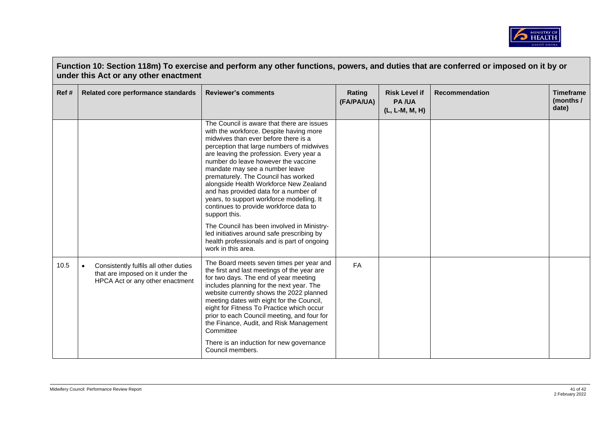

| Function 10: Section 118m) To exercise and perform any other functions, powers, and duties that are conferred or imposed on it by or<br>under this Act or any other enactment |                                                                                                                           |                                                                                                                                                                                                                                                                                                                                                                                                                                                                                                                                                                                                                                                                                                    |                      |                                                        |                       |                                        |  |
|-------------------------------------------------------------------------------------------------------------------------------------------------------------------------------|---------------------------------------------------------------------------------------------------------------------------|----------------------------------------------------------------------------------------------------------------------------------------------------------------------------------------------------------------------------------------------------------------------------------------------------------------------------------------------------------------------------------------------------------------------------------------------------------------------------------------------------------------------------------------------------------------------------------------------------------------------------------------------------------------------------------------------------|----------------------|--------------------------------------------------------|-----------------------|----------------------------------------|--|
| Ref#                                                                                                                                                                          | Related core performance standards                                                                                        | <b>Reviewer's comments</b>                                                                                                                                                                                                                                                                                                                                                                                                                                                                                                                                                                                                                                                                         | Rating<br>(FA/PA/UA) | <b>Risk Level if</b><br><b>PA/UA</b><br>(L, L-M, M, H) | <b>Recommendation</b> | <b>Timeframe</b><br>(months /<br>date) |  |
|                                                                                                                                                                               |                                                                                                                           | The Council is aware that there are issues<br>with the workforce. Despite having more<br>midwives than ever before there is a<br>perception that large numbers of midwives<br>are leaving the profession. Every year a<br>number do leave however the vaccine<br>mandate may see a number leave<br>prematurely. The Council has worked<br>alongside Health Workforce New Zealand<br>and has provided data for a number of<br>years, to support workforce modelling. It<br>continues to provide workforce data to<br>support this.<br>The Council has been involved in Ministry-<br>led initiatives around safe prescribing by<br>health professionals and is part of ongoing<br>work in this area. |                      |                                                        |                       |                                        |  |
| 10.5                                                                                                                                                                          | $\bullet$<br>Consistently fulfils all other duties<br>that are imposed on it under the<br>HPCA Act or any other enactment | The Board meets seven times per year and<br>the first and last meetings of the year are<br>for two days. The end of year meeting<br>includes planning for the next year. The<br>website currently shows the 2022 planned<br>meeting dates with eight for the Council,<br>eight for Fitness To Practice which occur<br>prior to each Council meeting, and four for<br>the Finance, Audit, and Risk Management<br>Committee<br>There is an induction for new governance<br>Council members.                                                                                                                                                                                                          | <b>FA</b>            |                                                        |                       |                                        |  |

 $\mathsf{L}$